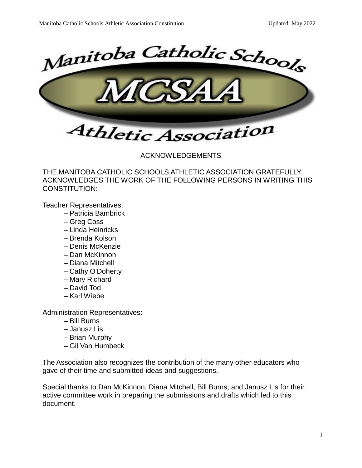

ACKNOWLEDGEMENTS

THE MANITOBA CATHOLIC SCHOOLS ATHLETIC ASSOCIATION GRATEFULLY ACKNOWLEDGES THE WORK OF THE FOLLOWING PERSONS IN WRITING THIS CONSTITUTION:

Teacher Representatives:

- Patricia Bambrick
- Greg Coss
- Linda Heinricks
- Brenda Kolson
- Denis McKenzie
- Dan McKinnon
- Diana Mitchell
- Cathy O'Doherty
- Mary Richard
- David Tod
- Karl Wiebe

Administration Representatives:

- Bill Burns
- Janusz Lis
- Brian Murphy
- Gil Van Humbeck

The Association also recognizes the contribution of the many other educators who gave of their time and submitted ideas and suggestions.

Special thanks to Dan McKinnon, Diana Mitchell, Bill Burns, and Janusz Lis for their active committee work in preparing the submissions and drafts which led to this document.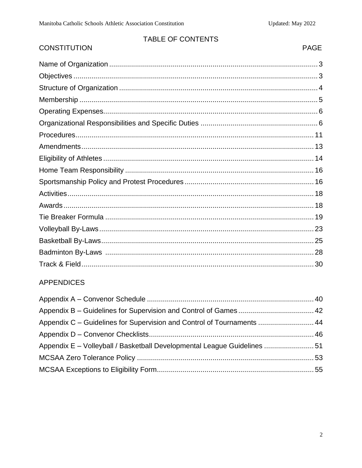# TABLE OF CONTENTS

# **CONSTITUTION**

# PAGE

# **APPENDICES**

| Appendix C - Guidelines for Supervision and Control of Tournaments  44   |  |
|--------------------------------------------------------------------------|--|
|                                                                          |  |
| Appendix E - Volleyball / Basketball Developmental League Guidelines  51 |  |
|                                                                          |  |
|                                                                          |  |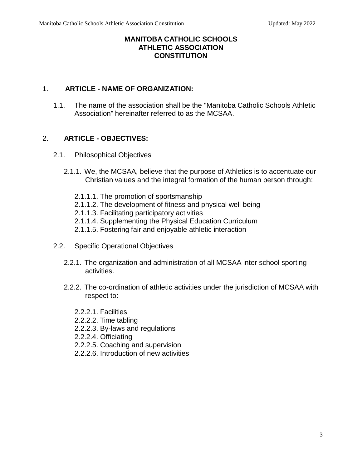#### **MANITOBA CATHOLIC SCHOOLS ATHLETIC ASSOCIATION CONSTITUTION**

# 1. **ARTICLE - NAME OF ORGANIZATION:**

1.1. The name of the association shall be the "Manitoba Catholic Schools Athletic Association" hereinafter referred to as the MCSAA.

# 2. **ARTICLE - OBJECTIVES:**

- 2.1. Philosophical Objectives
	- 2.1.1. We, the MCSAA, believe that the purpose of Athletics is to accentuate our Christian values and the integral formation of the human person through:
		- 2.1.1.1. The promotion of sportsmanship
		- 2.1.1.2. The development of fitness and physical well being
		- 2.1.1.3. Facilitating participatory activities
		- 2.1.1.4. Supplementing the Physical Education Curriculum
		- 2.1.1.5. Fostering fair and enjoyable athletic interaction
- 2.2. Specific Operational Objectives
	- 2.2.1. The organization and administration of all MCSAA inter school sporting activities.
	- 2.2.2. The co-ordination of athletic activities under the jurisdiction of MCSAA with respect to:
		- 2.2.2.1. Facilities
		- 2.2.2.2. Time tabling
		- 2.2.2.3. By-laws and regulations
		- 2.2.2.4. Officiating
		- 2.2.2.5. Coaching and supervision
		- 2.2.2.6. Introduction of new activities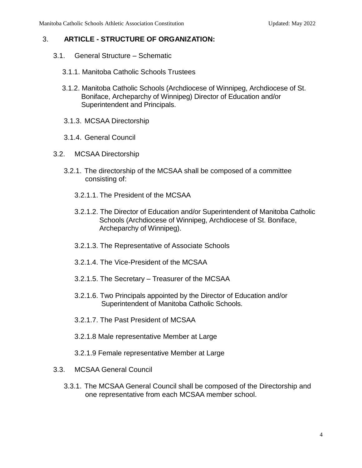#### 3. **ARTICLE - STRUCTURE OF ORGANIZATION:**

- 3.1. General Structure Schematic
	- 3.1.1. Manitoba Catholic Schools Trustees
	- 3.1.2. Manitoba Catholic Schools (Archdiocese of Winnipeg, Archdiocese of St. Boniface, Archeparchy of Winnipeg) Director of Education and/or Superintendent and Principals.
	- 3.1.3. MCSAA Directorship
	- 3.1.4. General Council
- 3.2. MCSAA Directorship
	- 3.2.1. The directorship of the MCSAA shall be composed of a committee consisting of:
		- 3.2.1.1. The President of the MCSAA
		- 3.2.1.2. The Director of Education and/or Superintendent of Manitoba Catholic Schools (Archdiocese of Winnipeg, Archdiocese of St. Boniface, Archeparchy of Winnipeg).
		- 3.2.1.3. The Representative of Associate Schools
		- 3.2.1.4. The Vice-President of the MCSAA
		- 3.2.1.5. The Secretary Treasurer of the MCSAA
		- 3.2.1.6. Two Principals appointed by the Director of Education and/or Superintendent of Manitoba Catholic Schools.
		- 3.2.1.7. The Past President of MCSAA
		- 3.2.1.8 Male representative Member at Large
		- 3.2.1.9 Female representative Member at Large
- 3.3. MCSAA General Council
	- 3.3.1. The MCSAA General Council shall be composed of the Directorship and one representative from each MCSAA member school.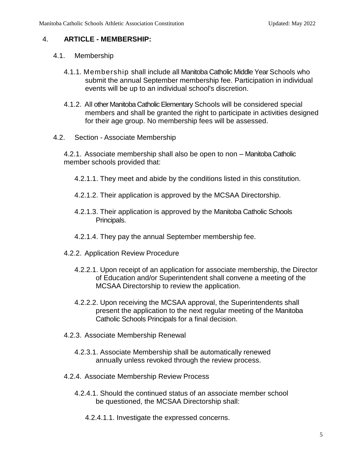#### 4. **ARTICLE - MEMBERSHIP:**

- 4.1. Membership
	- 4.1.1. Membership shall include all Manitoba Catholic Middle Year Schools who submit the annual September membership fee. Participation in individual events will be up to an individual school's discretion.
	- 4.1.2. All other Manitoba Catholic Elementary Schools will be considered special members and shall be granted the right to participate in activities designed for their age group. No membership fees will be assessed.
- 4.2. Section Associate Membership

4.2.1. Associate membership shall also be open to non – Manitoba Catholic member schools provided that:

- 4.2.1.1. They meet and abide by the conditions listed in this constitution.
- 4.2.1.2. Their application is approved by the MCSAA Directorship.
- 4.2.1.3. Their application is approved by the Manitoba Catholic Schools Principals.
- 4.2.1.4. They pay the annual September membership fee.
- 4.2.2. Application Review Procedure
	- 4.2.2.1. Upon receipt of an application for associate membership, the Director of Education and/or Superintendent shall convene a meeting of the MCSAA Directorship to review the application.
	- 4.2.2.2. Upon receiving the MCSAA approval, the Superintendents shall present the application to the next regular meeting of the Manitoba Catholic Schools Principals for a final decision.
- 4.2.3. Associate Membership Renewal
	- 4.2.3.1. Associate Membership shall be automatically renewed annually unless revoked through the review process.
- 4.2.4. Associate Membership Review Process
	- 4.2.4.1. Should the continued status of an associate member school be questioned, the MCSAA Directorship shall:
		- 4.2.4.1.1. Investigate the expressed concerns.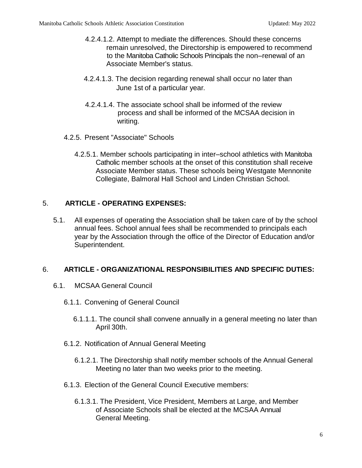- 4.2.4.1.2. Attempt to mediate the differences. Should these concerns remain unresolved, the Directorship is empowered to recommend to the Manitoba Catholic Schools Principals the non–renewal of an Associate Member's status.
- 4.2.4.1.3. The decision regarding renewal shall occur no later than June 1st of a particular year.
- 4.2.4.1.4. The associate school shall be informed of the review process and shall be informed of the MCSAA decision in writing.
- 4.2.5. Present "Associate" Schools
	- 4.2.5.1. Member schools participating in inter–school athletics with Manitoba Catholic member schools at the onset of this constitution shall receive Associate Member status. These schools being Westgate Mennonite Collegiate, Balmoral Hall School and Linden Christian School.

# 5. **ARTICLE - OPERATING EXPENSES:**

5.1. All expenses of operating the Association shall be taken care of by the school annual fees. School annual fees shall be recommended to principals each year by the Association through the office of the Director of Education and/or Superintendent.

# 6. **ARTICLE - ORGANIZATIONAL RESPONSIBILITIES AND SPECIFIC DUTIES:**

- 6.1. MCSAA General Council
	- 6.1.1. Convening of General Council
		- 6.1.1.1. The council shall convene annually in a general meeting no later than April 30th.
	- 6.1.2. Notification of Annual General Meeting
		- 6.1.2.1. The Directorship shall notify member schools of the Annual General Meeting no later than two weeks prior to the meeting.
	- 6.1.3. Election of the General Council Executive members:
		- 6.1.3.1. The President, Vice President, Members at Large, and Member of Associate Schools shall be elected at the MCSAA Annual General Meeting.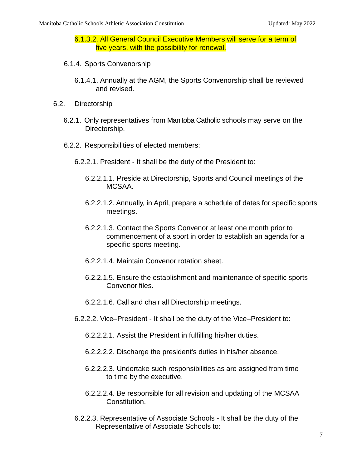6.1.3.2. All General Council Executive Members will serve for a term of five years, with the possibility for renewal.

- 6.1.4. Sports Convenorship
	- 6.1.4.1. Annually at the AGM, the Sports Convenorship shall be reviewed and revised.
- 6.2. Directorship
	- 6.2.1. Only representatives from Manitoba Catholic schools may serve on the Directorship.
	- 6.2.2. Responsibilities of elected members:
		- 6.2.2.1. President It shall be the duty of the President to:
			- 6.2.2.1.1. Preside at Directorship, Sports and Council meetings of the MCSAA.
			- 6.2.2.1.2. Annually, in April, prepare a schedule of dates for specific sports meetings.
			- 6.2.2.1.3. Contact the Sports Convenor at least one month prior to commencement of a sport in order to establish an agenda for a specific sports meeting.
			- 6.2.2.1.4. Maintain Convenor rotation sheet.
			- 6.2.2.1.5. Ensure the establishment and maintenance of specific sports Convenor files.
			- 6.2.2.1.6. Call and chair all Directorship meetings.
		- 6.2.2.2. Vice–President It shall be the duty of the Vice–President to:
			- 6.2.2.2.1. Assist the President in fulfilling his/her duties.
			- 6.2.2.2.2. Discharge the president's duties in his/her absence.
			- 6.2.2.2.3. Undertake such responsibilities as are assigned from time to time by the executive.
			- 6.2.2.2.4. Be responsible for all revision and updating of the MCSAA Constitution.
		- 6.2.2.3. Representative of Associate Schools It shall be the duty of the Representative of Associate Schools to: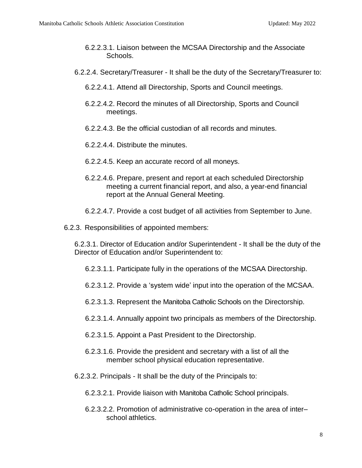- 6.2.2.3.1. Liaison between the MCSAA Directorship and the Associate Schools.
- 6.2.2.4. Secretary/Treasurer It shall be the duty of the Secretary/Treasurer to:
	- 6.2.2.4.1. Attend all Directorship, Sports and Council meetings.
	- 6.2.2.4.2. Record the minutes of all Directorship, Sports and Council meetings.
	- 6.2.2.4.3. Be the official custodian of all records and minutes.
	- 6.2.2.4.4. Distribute the minutes.
	- 6.2.2.4.5. Keep an accurate record of all moneys.
	- 6.2.2.4.6. Prepare, present and report at each scheduled Directorship meeting a current financial report, and also, a year-end financial report at the Annual General Meeting.
	- 6.2.2.4.7. Provide a cost budget of all activities from September to June.
- 6.2.3. Responsibilities of appointed members:

6.2.3.1. Director of Education and/or Superintendent - It shall be the duty of the Director of Education and/or Superintendent to:

- 6.2.3.1.1. Participate fully in the operations of the MCSAA Directorship.
- 6.2.3.1.2. Provide a 'system wide' input into the operation of the MCSAA.
- 6.2.3.1.3. Represent the Manitoba Catholic Schools on the Directorship.
- 6.2.3.1.4. Annually appoint two principals as members of the Directorship.
- 6.2.3.1.5. Appoint a Past President to the Directorship.
- 6.2.3.1.6. Provide the president and secretary with a list of all the member school physical education representative.
- 6.2.3.2. Principals It shall be the duty of the Principals to:
	- 6.2.3.2.1. Provide liaison with Manitoba Catholic School principals.
	- 6.2.3.2.2. Promotion of administrative co-operation in the area of inter– school athletics.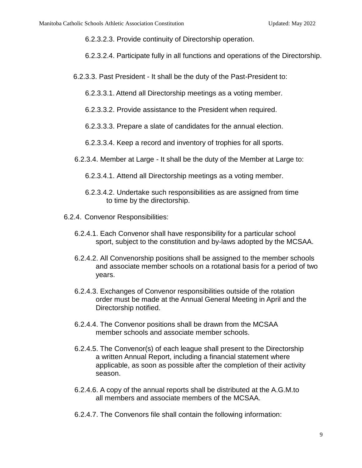6.2.3.2.3. Provide continuity of Directorship operation.

6.2.3.2.4. Participate fully in all functions and operations of the Directorship.

6.2.3.3. Past President - It shall be the duty of the Past-President to:

6.2.3.3.1. Attend all Directorship meetings as a voting member.

6.2.3.3.2. Provide assistance to the President when required.

6.2.3.3.3. Prepare a slate of candidates for the annual election.

6.2.3.3.4. Keep a record and inventory of trophies for all sports.

6.2.3.4. Member at Large - It shall be the duty of the Member at Large to:

6.2.3.4.1. Attend all Directorship meetings as a voting member.

- 6.2.3.4.2. Undertake such responsibilities as are assigned from time to time by the directorship.
- 6.2.4. Convenor Responsibilities:
	- 6.2.4.1. Each Convenor shall have responsibility for a particular school sport, subject to the constitution and by-laws adopted by the MCSAA.
	- 6.2.4.2. All Convenorship positions shall be assigned to the member schools and associate member schools on a rotational basis for a period of two years.
	- 6.2.4.3. Exchanges of Convenor responsibilities outside of the rotation order must be made at the Annual General Meeting in April and the Directorship notified.
	- 6.2.4.4. The Convenor positions shall be drawn from the MCSAA member schools and associate member schools.
	- 6.2.4.5. The Convenor(s) of each league shall present to the Directorship a written Annual Report, including a financial statement where applicable, as soon as possible after the completion of their activity season.
	- 6.2.4.6. A copy of the annual reports shall be distributed at the A.G.M.to all members and associate members of the MCSAA.
	- 6.2.4.7. The Convenors file shall contain the following information: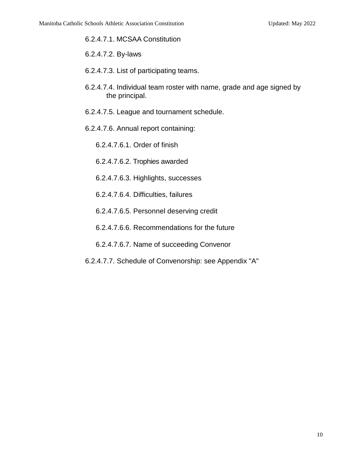#### 6.2.4.7.1. MCSAA Constitution

- 6.2.4.7.2. By-laws
- 6.2.4.7.3. List of participating teams.
- 6.2.4.7.4. Individual team roster with name, grade and age signed by the principal.
- 6.2.4.7.5. League and tournament schedule.
- 6.2.4.7.6. Annual report containing:
	- 6.2.4.7.6.1. Order of finish
	- 6.2.4.7.6.2. Trophies awarded
	- 6.2.4.7.6.3. Highlights, successes
	- 6.2.4.7.6.4. Difficulties, failures
	- 6.2.4.7.6.5. Personnel deserving credit
	- 6.2.4.7.6.6. Recommendations for the future
	- 6.2.4.7.6.7. Name of succeeding Convenor
- 6.2.4.7.7. Schedule of Convenorship: see Appendix "A"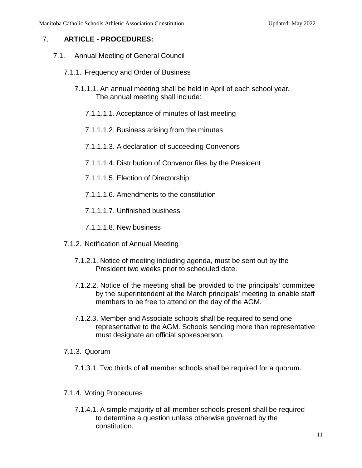#### 7. **ARTICLE - PROCEDURES:**

- 7.1. Annual Meeting of General Council
	- 7.1.1. Frequency and Order of Business
		- 7.1.1.1. An annual meeting shall be held in April of each school year. The annual meeting shall include:
			- 7.1.1.1.1. Acceptance of minutes of last meeting
			- 7.1.1.1.2. Business arising from the minutes
			- 7.1.1.1.3. A declaration of succeeding Convenors
			- 7.1.1.1.4. Distribution of Convenor files by the President
			- 7.1.1.1.5. Election of Directorship
			- 7.1.1.1.6. Amendments to the constitution
			- 7.1.1.1.7. Unfinished business
			- 7.1.1.1.8. New business
	- 7.1.2. Notification of Annual Meeting
		- 7.1.2.1. Notice of meeting including agenda, must be sent out by the President two weeks prior to scheduled date.
		- 7.1.2.2. Notice of the meeting shall be provided to the principals' committee by the superintendent at the March principals' meeting to enable staff members to be free to attend on the day of the AGM.
		- 7.1.2.3. Member and Associate schools shall be required to send one representative to the AGM. Schools sending more than representative must designate an official spokesperson.
	- 7.1.3. Quorum
		- 7.1.3.1. Two thirds of all member schools shall be required for a quorum.
	- 7.1.4. Voting Procedures
		- 7.1.4.1. A simple majority of all member schools present shall be required to determine a question unless otherwise governed by the constitution.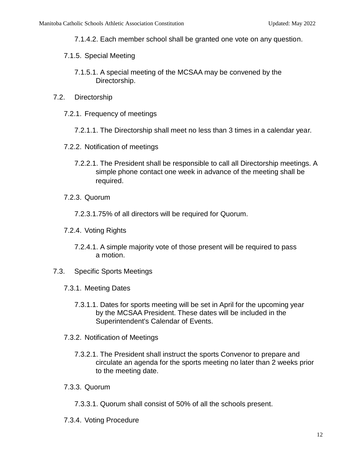- 7.1.4.2. Each member school shall be granted one vote on any question.
- 7.1.5. Special Meeting
	- 7.1.5.1. A special meeting of the MCSAA may be convened by the Directorship.
- 7.2. Directorship
	- 7.2.1. Frequency of meetings
		- 7.2.1.1. The Directorship shall meet no less than 3 times in a calendar year.
	- 7.2.2. Notification of meetings
		- 7.2.2.1. The President shall be responsible to call all Directorship meetings. A simple phone contact one week in advance of the meeting shall be required.
	- 7.2.3. Quorum
		- 7.2.3.1.75% of all directors will be required for Quorum.
	- 7.2.4. Voting Rights
		- 7.2.4.1. A simple majority vote of those present will be required to pass a motion.
- 7.3. Specific Sports Meetings
	- 7.3.1. Meeting Dates
		- 7.3.1.1. Dates for sports meeting will be set in April for the upcoming year by the MCSAA President. These dates will be included in the Superintendent's Calendar of Events.
	- 7.3.2. Notification of Meetings
		- 7.3.2.1. The President shall instruct the sports Convenor to prepare and circulate an agenda for the sports meeting no later than 2 weeks prior to the meeting date.
	- 7.3.3. Quorum
		- 7.3.3.1. Quorum shall consist of 50% of all the schools present.
	- 7.3.4. Voting Procedure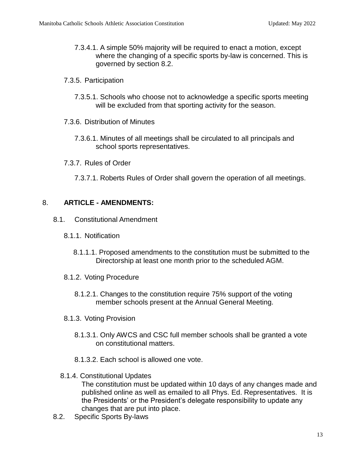- 7.3.4.1. A simple 50% majority will be required to enact a motion, except where the changing of a specific sports by-law is concerned. This is governed by section 8.2.
- 7.3.5. Participation
	- 7.3.5.1. Schools who choose not to acknowledge a specific sports meeting will be excluded from that sporting activity for the season.
- 7.3.6. Distribution of Minutes
	- 7.3.6.1. Minutes of all meetings shall be circulated to all principals and school sports representatives.
- 7.3.7. Rules of Order
	- 7.3.7.1. Roberts Rules of Order shall govern the operation of all meetings.

#### 8. **ARTICLE - AMENDMENTS:**

- 8.1. Constitutional Amendment
	- 8.1.1. Notification
		- 8.1.1.1. Proposed amendments to the constitution must be submitted to the Directorship at least one month prior to the scheduled AGM.
	- 8.1.2. Voting Procedure
		- 8.1.2.1. Changes to the constitution require 75% support of the voting member schools present at the Annual General Meeting.
	- 8.1.3. Voting Provision
		- 8.1.3.1. Only AWCS and CSC full member schools shall be granted a vote on constitutional matters.
		- 8.1.3.2. Each school is allowed one vote.
	- 8.1.4. Constitutional Updates

The constitution must be updated within 10 days of any changes made and published online as well as emailed to all Phys. Ed. Representatives. It is the Presidents' or the President's delegate responsibility to update any changes that are put into place.

8.2. Specific Sports By-laws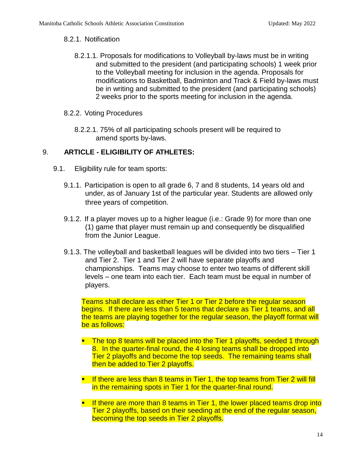#### 8.2.1. Notification

8.2.1.1. Proposals for modifications to Volleyball by-laws must be in writing and submitted to the president (and participating schools) 1 week prior to the Volleyball meeting for inclusion in the agenda. Proposals for modifications to Basketball, Badminton and Track & Field by-laws must be in writing and submitted to the president (and participating schools) 2 weeks prior to the sports meeting for inclusion in the agenda.

#### 8.2.2. Voting Procedures

8.2.2.1. 75% of all participating schools present will be required to amend sports by-laws.

# 9. **ARTICLE - ELIGIBILITY OF ATHLETES:**

- 9.1. Eligibility rule for team sports:
	- 9.1.1. Participation is open to all grade 6, 7 and 8 students, 14 years old and under, as of January 1st of the particular year. Students are allowed only three years of competition.
	- 9.1.2. If a player moves up to a higher league (i.e.: Grade 9) for more than one (1) game that player must remain up and consequently be disqualified from the Junior League.
	- 9.1.3. The volleyball and basketball leagues will be divided into two tiers Tier 1 and Tier 2. Tier 1 and Tier 2 will have separate playoffs and championships. Teams may choose to enter two teams of different skill levels – one team into each tier. Each team must be equal in number of players.

Teams shall declare as either Tier 1 or Tier 2 before the regular season begins. If there are less than 5 teams that declare as Tier 1 teams, and all the teams are playing together for the regular season, the playoff format will be as follows:

- $\blacksquare$  The top 8 teams will be placed into the Tier 1 playoffs, seeded 1 through 8. In the quarter-final round, the 4 losing teams shall be dropped into Tier 2 playoffs and become the top seeds. The remaining teams shall then be added to Tier 2 playoffs.
- If there are less than 8 teams in Tier 1, the top teams from Tier 2 will fill in the remaining spots in Tier 1 for the quarter-final round.
- **If there are more than 8 teams in Tier 1, the lower placed teams drop into** Tier 2 playoffs, based on their seeding at the end of the regular season, becoming the top seeds in Tier 2 playoffs.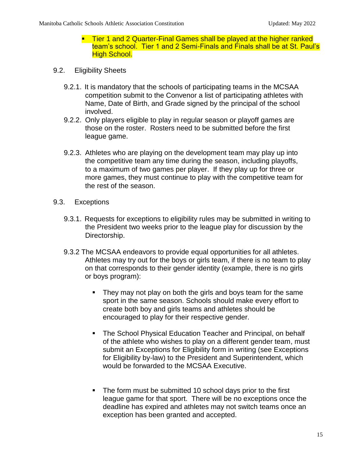- **Tier 1 and 2 Quarter-Final Games shall be played at the higher ranked** team's school. Tier 1 and 2 Semi-Finals and Finals shall be at St. Paul's **High School.**
- 9.2. Eligibility Sheets
	- 9.2.1. It is mandatory that the schools of participating teams in the MCSAA competition submit to the Convenor a list of participating athletes with Name, Date of Birth, and Grade signed by the principal of the school involved.
	- 9.2.2. Only players eligible to play in regular season or playoff games are those on the roster. Rosters need to be submitted before the first league game.
	- 9.2.3. Athletes who are playing on the development team may play up into the competitive team any time during the season, including playoffs, to a maximum of two games per player. If they play up for three or more games, they must continue to play with the competitive team for the rest of the season.
- 9.3. Exceptions
	- 9.3.1. Requests for exceptions to eligibility rules may be submitted in writing to the President two weeks prior to the league play for discussion by the Directorship.
	- 9.3.2 The MCSAA endeavors to provide equal opportunities for all athletes. Athletes may try out for the boys or girls team, if there is no team to play on that corresponds to their gender identity (example, there is no girls or boys program):
		- They may not play on both the girls and boys team for the same sport in the same season. Schools should make every effort to create both boy and girls teams and athletes should be encouraged to play for their respective gender.
		- **The School Physical Education Teacher and Principal, on behalf** of the athlete who wishes to play on a different gender team, must submit an Exceptions for Eligibility form in writing (see Exceptions for Eligibility by-law) to the President and Superintendent, which would be forwarded to the MCSAA Executive.
		- The form must be submitted 10 school days prior to the first league game for that sport. There will be no exceptions once the deadline has expired and athletes may not switch teams once an exception has been granted and accepted.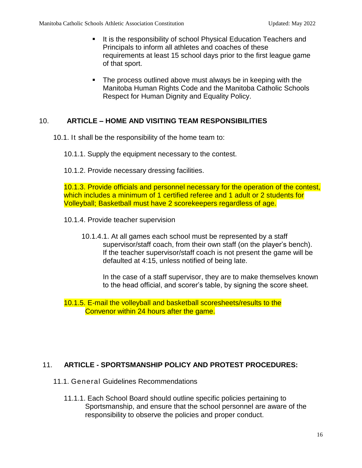- It is the responsibility of school Physical Education Teachers and Principals to inform all athletes and coaches of these requirements at least 15 school days prior to the first league game of that sport.
- **The process outlined above must always be in keeping with the** Manitoba Human Rights Code and the Manitoba Catholic Schools Respect for Human Dignity and Equality Policy.

# 10. **ARTICLE – HOME AND VISITING TEAM RESPONSIBILITIES**

- 10.1. It shall be the responsibility of the home team to:
	- 10.1.1. Supply the equipment necessary to the contest.
	- 10.1.2. Provide necessary dressing facilities.

10.1.3. Provide officials and personnel necessary for the operation of the contest, which includes a minimum of 1 certified referee and 1 adult or 2 students for Volleyball; Basketball must have 2 scorekeepers regardless of age.

- 10.1.4. Provide teacher supervision
	- 10.1.4.1. At all games each school must be represented by a staff supervisor/staff coach, from their own staff (on the player's bench). If the teacher supervisor/staff coach is not present the game will be defaulted at 4:15, unless notified of being late.

In the case of a staff supervisor, they are to make themselves known to the head official, and scorer's table, by signing the score sheet.

10.1.5. E-mail the volleyball and basketball scoresheets/results to the Convenor within 24 hours after the game.

# 11. **ARTICLE - SPORTSMANSHIP POLICY AND PROTEST PROCEDURES:**

- 11.1. General Guidelines Recommendations
	- 11.1.1. Each School Board should outline specific policies pertaining to Sportsmanship, and ensure that the school personnel are aware of the responsibility to observe the policies and proper conduct.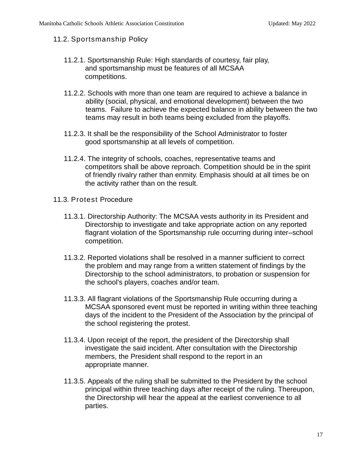#### 11.2. Sportsmanship Policy

- 11.2.1. Sportsmanship Rule: High standards of courtesy, fair play, and sportsmanship must be features of all MCSAA competitions.
- 11.2.2. Schools with more than one team are required to achieve a balance in ability (social, physical, and emotional development) between the two teams. Failure to achieve the expected balance in ability between the two teams may result in both teams being excluded from the playoffs.
- 11.2.3. It shall be the responsibility of the School Administrator to foster good sportsmanship at all levels of competition.
- 11.2.4. The integrity of schools, coaches, representative teams and competitors shall be above reproach. Competition should be in the spirit of friendly rivalry rather than enmity. Emphasis should at all times be on the activity rather than on the result.
- 11.3. Protest Procedure
	- 11.3.1. Directorship Authority: The MCSAA vests authority in its President and Directorship to investigate and take appropriate action on any reported flagrant violation of the Sportsmanship rule occurring during inter–school competition.
	- 11.3.2. Reported violations shall be resolved in a manner sufficient to correct the problem and may range from a written statement of findings by the Directorship to the school administrators, to probation or suspension for the school's players, coaches and/or team.
	- 11.3.3. All flagrant violations of the Sportsmanship Rule occurring during a MCSAA sponsored event must be reported in writing within three teaching days of the incident to the President of the Association by the principal of the school registering the protest.
	- 11.3.4. Upon receipt of the report, the president of the Directorship shall investigate the said incident. After consultation with the Directorship members, the President shall respond to the report in an appropriate manner.
	- 11.3.5. Appeals of the ruling shall be submitted to the President by the school principal within three teaching days after receipt of the ruling. Thereupon, the Directorship will hear the appeal at the earliest convenience to all parties.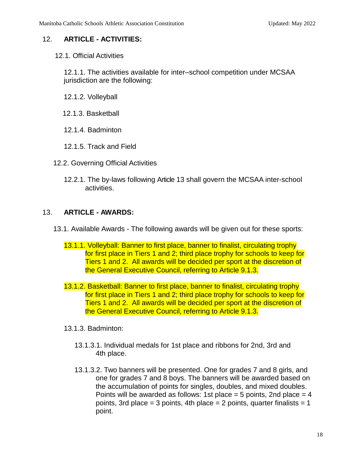# 12. **ARTICLE - ACTIVITIES:**

12.1. Official Activities

12.1.1. The activities available for inter–school competition under MCSAA jurisdiction are the following:

- 12.1.2. Volleyball
- 12.1.3. Basketball
- 12.1.4. Badminton
- 12.1.5. Track and Field
- 12.2. Governing Official Activities
	- 12.2.1. The by-laws following Article 13 shall govern the MCSAA inter-school activities.

#### 13. **ARTICLE - AWARDS:**

- 13.1. Available Awards The following awards will be given out for these sports:
	- 13.1.1. Volleyball: Banner to first place, banner to finalist, circulating trophy for first place in Tiers 1 and 2; third place trophy for schools to keep for Tiers 1 and 2. All awards will be decided per sport at the discretion of the General Executive Council, referring to Article 9.1.3.
	- 13.1.2. Basketball: Banner to first place, banner to finalist, circulating trophy for first place in Tiers 1 and 2; third place trophy for schools to keep for Tiers 1 and 2. All awards will be decided per sport at the discretion of the General Executive Council, referring to Article 9.1.3.
	- 13.1.3. Badminton:
		- 13.1.3.1. Individual medals for 1st place and ribbons for 2nd, 3rd and 4th place.
		- 13.1.3.2. Two banners will be presented. One for grades 7 and 8 girls, and one for grades 7 and 8 boys. The banners will be awarded based on the accumulation of points for singles, doubles, and mixed doubles. Points will be awarded as follows: 1st place  $=$  5 points, 2nd place  $=$  4 points, 3rd place = 3 points, 4th place = 2 points, quarter finalists = 1 point.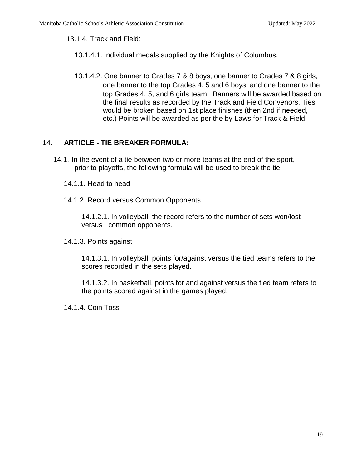13.1.4. Track and Field:

- 13.1.4.1. Individual medals supplied by the Knights of Columbus.
- 13.1.4.2. One banner to Grades 7 & 8 boys, one banner to Grades 7 & 8 girls, one banner to the top Grades 4, 5 and 6 boys, and one banner to the top Grades 4, 5, and 6 girls team. Banners will be awarded based on the final results as recorded by the Track and Field Convenors. Ties would be broken based on 1st place finishes (then 2nd if needed, etc.) Points will be awarded as per the by-Laws for Track & Field.

# 14. **ARTICLE - TIE BREAKER FORMULA:**

- 14.1. In the event of a tie between two or more teams at the end of the sport, prior to playoffs, the following formula will be used to break the tie:
	- 14.1.1. Head to head
	- 14.1.2. Record versus Common Opponents

14.1.2.1. In volleyball, the record refers to the number of sets won/lost versus common opponents.

14.1.3. Points against

14.1.3.1. In volleyball, points for/against versus the tied teams refers to the scores recorded in the sets played.

14.1.3.2. In basketball, points for and against versus the tied team refers to the points scored against in the games played.

14.1.4. Coin Toss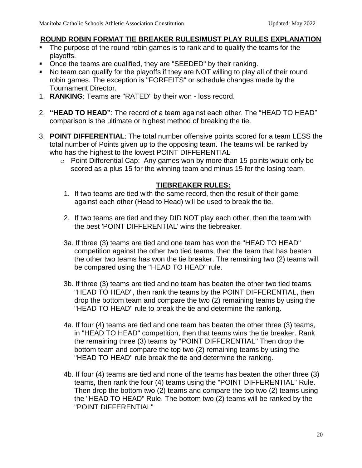#### **ROUND ROBIN FORMAT TIE BREAKER RULES/MUST PLAY RULES EXPLANATION**

- The purpose of the round robin games is to rank and to qualify the teams for the playoffs.
- Once the teams are qualified, they are "SEEDED" by their ranking.
- No team can qualify for the playoffs if they are NOT willing to play all of their round robin games. The exception is "FORFEITS" or schedule changes made by the Tournament Director.
- 1. **RANKING**: Teams are "RATED" by their won loss record.
- 2. **"HEAD TO HEAD"**: The record of a team against each other. The "HEAD TO HEAD" comparison is the ultimate or highest method of breaking the tie.
- 3. **POINT DIFFERENTIAL**: The total number offensive points scored for a team LESS the total number of Points given up to the opposing team. The teams will be ranked by who has the highest to the lowest POINT DIFFERENTIAL
	- o Point Differential Cap: Any games won by more than 15 points would only be scored as a plus 15 for the winning team and minus 15 for the losing team.

#### **TIEBREAKER RULES:**

- 1. If two teams are tied with the same record, then the result of their game against each other (Head to Head) will be used to break the tie.
- 2. If two teams are tied and they DID NOT play each other, then the team with the best 'POINT DIFFERENTIAL' wins the tiebreaker.
- 3a. If three (3) teams are tied and one team has won the "HEAD TO HEAD" competition against the other two tied teams, then the team that has beaten the other two teams has won the tie breaker. The remaining two (2) teams will be compared using the "HEAD TO HEAD" rule.
- 3b. If three (3) teams are tied and no team has beaten the other two tied teams "HEAD TO HEAD", then rank the teams by the POINT DIFFERENTIAL, then drop the bottom team and compare the two (2) remaining teams by using the "HEAD TO HEAD" rule to break the tie and determine the ranking.
- 4a. If four (4) teams are tied and one team has beaten the other three (3) teams, in "HEAD TO HEAD" competition, then that teams wins the tie breaker. Rank the remaining three (3) teams by "POINT DIFFERENTIAL" Then drop the bottom team and compare the top two (2) remaining teams by using the "HEAD TO HEAD" rule break the tie and determine the ranking.
- 4b. If four (4) teams are tied and none of the teams has beaten the other three (3) teams, then rank the four (4) teams using the "POINT DIFFERENTIAL" Rule. Then drop the bottom two (2) teams and compare the top two (2) teams using the "HEAD TO HEAD" Rule. The bottom two (2) teams will be ranked by the "POINT DIFFERENTIAL"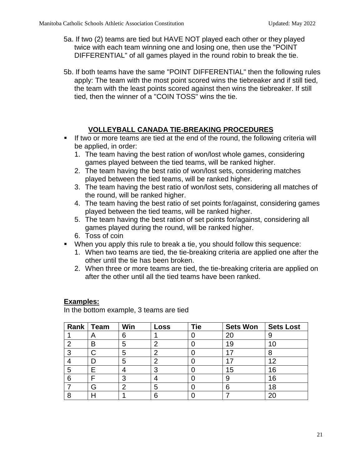- 5a. If two (2) teams are tied but HAVE NOT played each other or they played twice with each team winning one and losing one, then use the "POINT DIFFERENTIAL" of all games played in the round robin to break the tie.
- 5b. If both teams have the same "POINT DIFFERENTIAL" then the following rules apply: The team with the most point scored wins the tiebreaker and if still tied, the team with the least points scored against then wins the tiebreaker. If still tied, then the winner of a "COIN TOSS" wins the tie.

# **VOLLEYBALL CANADA TIE-BREAKING PROCEDURES**

- If two or more teams are tied at the end of the round, the following criteria will be applied, in order:
	- 1. The team having the best ration of won/lost whole games, considering games played between the tied teams, will be ranked higher.
	- 2. The team having the best ratio of won/lost sets, considering matches played between the tied teams, will be ranked higher.
	- 3. The team having the best ratio of won/lost sets, considering all matches of the round, will be ranked higher.
	- 4. The team having the best ratio of set points for/against, considering games played between the tied teams, will be ranked higher.
	- 5. The team having the best ration of set points for/against, considering all games played during the round, will be ranked higher.
	- 6. Toss of coin
- When you apply this rule to break a tie, you should follow this sequence:
	- 1. When two teams are tied, the tie-breaking criteria are applied one after the other until the tie has been broken.
	- 2. When three or more teams are tied, the tie-breaking criteria are applied on after the other until all the tied teams have been ranked.

#### **Examples:**

In the bottom example, 3 teams are tied

| Rank | Team | Win | Loss | <b>Tie</b> | <b>Sets Won</b> | <b>Sets Lost</b> |
|------|------|-----|------|------------|-----------------|------------------|
|      | Α    | 6   |      |            | 20              | 9                |
| ົ    | B    | 5   | າ    |            | 19              | 10 <sup>1</sup>  |
| 0    |      | 5   | 2    |            |                 | 8                |
|      |      | 5   | ົ    |            | . 7             | 12               |
| 5    |      | 4   | З    |            | 15              | 16               |
| 6    |      | 3   |      |            | 9               | 16               |
|      | G    | 2   | 5    |            | 6               | 18               |
|      |      |     | հ    |            |                 |                  |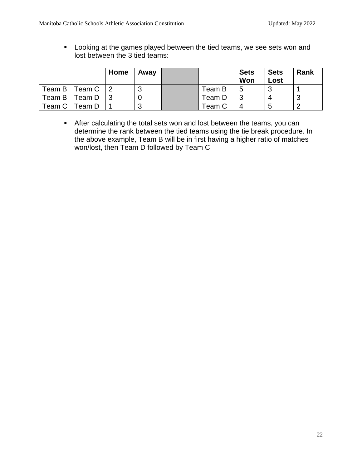**Looking at the games played between the tied teams, we see sets won and** lost between the 3 tied teams:

|        |                       | Home | Away   |        | <b>Sets</b><br>Won | <b>Sets</b><br>Lost | Rank |
|--------|-----------------------|------|--------|--------|--------------------|---------------------|------|
| Team B | <sup>-</sup> eam C ∣2 |      | n<br>u | Team B | 5                  |                     |      |
| Team B | Team D                |      |        | Team D |                    |                     |      |
| Team C | <sup>-</sup> eam D    |      | u      | Team C |                    |                     |      |

 After calculating the total sets won and lost between the teams, you can determine the rank between the tied teams using the tie break procedure. In the above example, Team B will be in first having a higher ratio of matches won/lost, then Team D followed by Team C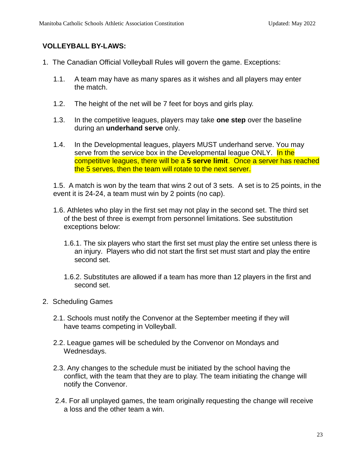# **VOLLEYBALL BY-LAWS:**

- 1. The Canadian Official Volleyball Rules will govern the game. Exceptions:
	- 1.1. A team may have as many spares as it wishes and all players may enter the match.
	- 1.2. The height of the net will be 7 feet for boys and girls play.
	- 1.3. In the competitive leagues, players may take **one step** over the baseline during an **underhand serve** only.
	- 1.4. In the Developmental leagues, players MUST underhand serve. You may serve from the service box in the Developmental league ONLY. In the competitive leagues, there will be a **5 serve limit**. Once a server has reached the 5 serves, then the team will rotate to the next server.

1.5. A match is won by the team that wins 2 out of 3 sets. A set is to 25 points, in the event it is 24-24, a team must win by 2 points (no cap).

- 1.6. Athletes who play in the first set may not play in the second set. The third set of the best of three is exempt from personnel limitations. See substitution exceptions below:
	- 1.6.1. The six players who start the first set must play the entire set unless there is an injury. Players who did not start the first set must start and play the entire second set.
	- 1.6.2. Substitutes are allowed if a team has more than 12 players in the first and second set.
- 2. Scheduling Games
	- 2.1. Schools must notify the Convenor at the September meeting if they will have teams competing in Volleyball.
	- 2.2. League games will be scheduled by the Convenor on Mondays and Wednesdays.
	- 2.3. Any changes to the schedule must be initiated by the school having the conflict, with the team that they are to play. The team initiating the change will notify the Convenor.
	- 2.4. For all unplayed games, the team originally requesting the change will receive a loss and the other team a win.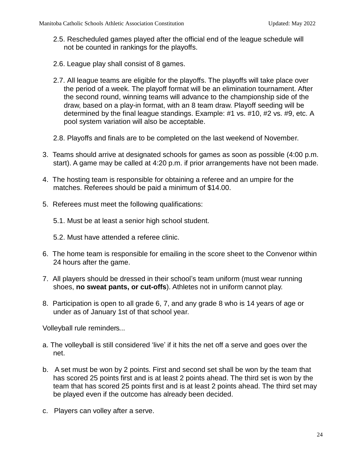- 2.5. Rescheduled games played after the official end of the league schedule will not be counted in rankings for the playoffs.
- 2.6. League play shall consist of 8 games.
- 2.7. All league teams are eligible for the playoffs. The playoffs will take place over the period of a week. The playoff format will be an elimination tournament. After the second round, winning teams will advance to the championship side of the draw, based on a play-in format, with an 8 team draw. Playoff seeding will be determined by the final league standings. Example: #1 vs. #10, #2 vs. #9, etc. A pool system variation will also be acceptable.
- 2.8. Playoffs and finals are to be completed on the last weekend of November.
- 3. Teams should arrive at designated schools for games as soon as possible (4:00 p.m. start). A game may be called at 4:20 p.m. if prior arrangements have not been made.
- 4. The hosting team is responsible for obtaining a referee and an umpire for the matches. Referees should be paid a minimum of \$14.00.
- 5. Referees must meet the following qualifications:
	- 5.1. Must be at least a senior high school student.
	- 5.2. Must have attended a referee clinic.
- 6. The home team is responsible for emailing in the score sheet to the Convenor within 24 hours after the game.
- 7. All players should be dressed in their school's team uniform (must wear running shoes, **no sweat pants, or cut-offs**). Athletes not in uniform cannot play.
- 8. Participation is open to all grade 6, 7, and any grade 8 who is 14 years of age or under as of January 1st of that school year.

Volleyball rule reminders...

- a. The volleyball is still considered 'live' if it hits the net off a serve and goes over the net.
- b. A set must be won by 2 points. First and second set shall be won by the team that has scored 25 points first and is at least 2 points ahead. The third set is won by the team that has scored 25 points first and is at least 2 points ahead. The third set may be played even if the outcome has already been decided.
- c. Players can volley after a serve.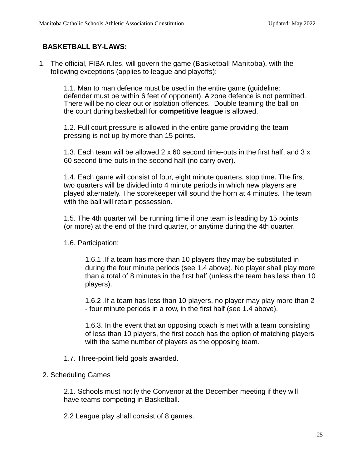# **BASKETBALL BY-LAWS:**

1. The official, FIBA rules, will govern the game (Basketball Manitoba), with the following exceptions (applies to league and playoffs):

1.1. Man to man defence must be used in the entire game (guideline: defender must be within 6 feet of opponent). A zone defence is not permitted. There will be no clear out or isolation offences. Double teaming the ball on the court during basketball for **competitive league** is allowed.

1.2. Full court pressure is allowed in the entire game providing the team pressing is not up by more than 15 points.

1.3. Each team will be allowed 2 x 60 second time-outs in the first half, and 3 x 60 second time-outs in the second half (no carry over).

1.4. Each game will consist of four, eight minute quarters, stop time. The first two quarters will be divided into 4 minute periods in which new players are played alternately. The scorekeeper will sound the horn at 4 minutes. The team with the ball will retain possession.

1.5. The 4th quarter will be running time if one team is leading by 15 points (or more) at the end of the third quarter, or anytime during the 4th quarter.

1.6. Participation:

1.6.1 .If a team has more than 10 players they may be substituted in during the four minute periods (see 1.4 above). No player shall play more than a total of 8 minutes in the first half (unless the team has less than 10 players).

1.6.2 .If a team has less than 10 players, no player may play more than 2 - four minute periods in a row, in the first half (see 1.4 above).

1.6.3. In the event that an opposing coach is met with a team consisting of less than 10 players, the first coach has the option of matching players with the same number of players as the opposing team.

1.7. Three-point field goals awarded.

#### 2. Scheduling Games

2.1. Schools must notify the Convenor at the December meeting if they will have teams competing in Basketball.

2.2 League play shall consist of 8 games.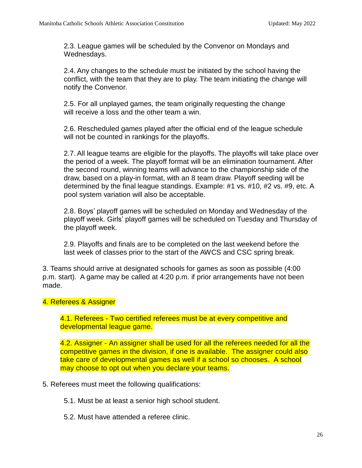2.3. League games will be scheduled by the Convenor on Mondays and Wednesdays.

2.4. Any changes to the schedule must be initiated by the school having the conflict, with the team that they are to play. The team initiating the change will notify the Convenor.

2.5. For all unplayed games, the team originally requesting the change will receive a loss and the other team a win.

2.6. Rescheduled games played after the official end of the league schedule will not be counted in rankings for the playoffs.

2.7. All league teams are eligible for the playoffs. The playoffs will take place over the period of a week. The playoff format will be an elimination tournament. After the second round, winning teams will advance to the championship side of the draw, based on a play-in format, with an 8 team draw. Playoff seeding will be determined by the final league standings. Example: #1 vs. #10, #2 vs. #9, etc. A pool system variation will also be acceptable.

2.8. Boys' playoff games will be scheduled on Monday and Wednesday of the playoff week. Girls' playoff games will be scheduled on Tuesday and Thursday of the playoff week.

2.9. Playoffs and finals are to be completed on the last weekend before the last week of classes prior to the start of the AWCS and CSC spring break.

3. Teams should arrive at designated schools for games as soon as possible (4:00 p.m. start). A game may be called at 4:20 p.m. if prior arrangements have not been made.

#### 4. Referees & Assigner

4.1. Referees - Two certified referees must be at every competitive and developmental league game.

4.2. Assigner - An assigner shall be used for all the referees needed for all the competitive games in the division, if one is available. The assigner could also take care of developmental games as well if a school so chooses. A school may choose to opt out when you declare your teams.

5. Referees must meet the following qualifications:

5.1. Must be at least a senior high school student.

5.2. Must have attended a referee clinic.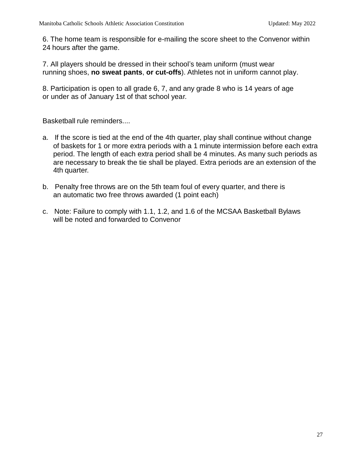6. The home team is responsible for e-mailing the score sheet to the Convenor within 24 hours after the game.

7. All players should be dressed in their school's team uniform (must wear running shoes, **no sweat pants**, **or cut-offs**). Athletes not in uniform cannot play.

8. Participation is open to all grade 6, 7, and any grade 8 who is 14 years of age or under as of January 1st of that school year.

Basketball rule reminders....

- a. If the score is tied at the end of the 4th quarter, play shall continue without change of baskets for 1 or more extra periods with a 1 minute intermission before each extra period. The length of each extra period shall be 4 minutes. As many such periods as are necessary to break the tie shall be played. Extra periods are an extension of the 4th quarter.
- b. Penalty free throws are on the 5th team foul of every quarter, and there is an automatic two free throws awarded (1 point each)
- c. Note: Failure to comply with 1.1, 1.2, and 1.6 of the MCSAA Basketball Bylaws will be noted and forwarded to Convenor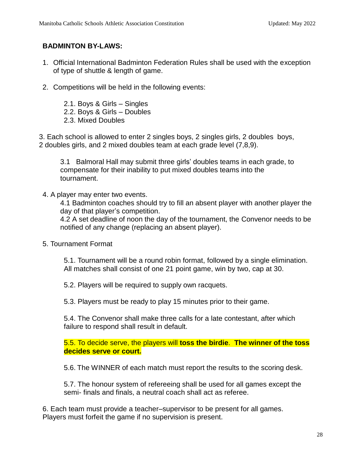# **BADMINTON BY-LAWS:**

- 1. Official International Badminton Federation Rules shall be used with the exception of type of shuttle & length of game.
- 2. Competitions will be held in the following events:
	- 2.1. Boys & Girls Singles
	- 2.2. Boys & Girls Doubles
	- 2.3. Mixed Doubles

3. Each school is allowed to enter 2 singles boys, 2 singles girls, 2 doubles boys, 2 doubles girls, and 2 mixed doubles team at each grade level (7,8,9).

3.1 Balmoral Hall may submit three girls' doubles teams in each grade, to compensate for their inability to put mixed doubles teams into the tournament.

4. A player may enter two events.

4.1 Badminton coaches should try to fill an absent player with another player the day of that player's competition.

4.2 A set deadline of noon the day of the tournament, the Convenor needs to be notified of any change (replacing an absent player).

5. Tournament Format

5.1. Tournament will be a round robin format, followed by a single elimination. All matches shall consist of one 21 point game, win by two, cap at 30.

5.2. Players will be required to supply own racquets.

5.3. Players must be ready to play 15 minutes prior to their game.

5.4. The Convenor shall make three calls for a late contestant, after which failure to respond shall result in default.

5.5. To decide serve, the players will **toss the birdie**. **The winner of the toss decides serve or court.**

5.6. The WINNER of each match must report the results to the scoring desk.

5.7. The honour system of refereeing shall be used for all games except the semi- finals and finals, a neutral coach shall act as referee.

6. Each team must provide a teacher–supervisor to be present for all games. Players must forfeit the game if no supervision is present.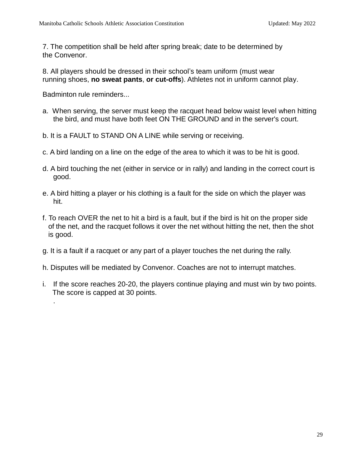7. The competition shall be held after spring break; date to be determined by the Convenor.

8. All players should be dressed in their school's team uniform (must wear running shoes, **no sweat pants**, **or cut-offs**). Athletes not in uniform cannot play.

Badminton rule reminders...

.

- a. When serving, the server must keep the racquet head below waist level when hitting the bird, and must have both feet ON THE GROUND and in the server's court.
- b. It is a FAULT to STAND ON A LINE while serving or receiving.
- c. A bird landing on a line on the edge of the area to which it was to be hit is good.
- d. A bird touching the net (either in service or in rally) and landing in the correct court is good.
- e. A bird hitting a player or his clothing is a fault for the side on which the player was hit.
- f. To reach OVER the net to hit a bird is a fault, but if the bird is hit on the proper side of the net, and the racquet follows it over the net without hitting the net, then the shot is good.
- g. It is a fault if a racquet or any part of a player touches the net during the rally.
- h. Disputes will be mediated by Convenor. Coaches are not to interrupt matches.
- i. If the score reaches 20-20, the players continue playing and must win by two points. The score is capped at 30 points.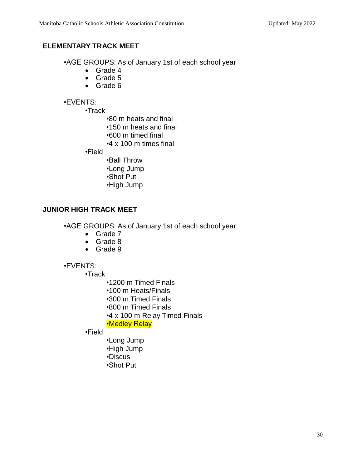# **ELEMENTARY TRACK MEET**

•AGE GROUPS: As of January 1st of each school year

- Grade 4
- Grade 5
- Grade 6

#### •EVENTS:

•Track

- •80 m heats and final
- •150 m heats and final
- •600 m timed final
- •4 x 100 m times final

•Field

- •Ball Throw •Long Jump •Shot Put
- •High Jump

# **JUNIOR HIGH TRACK MEET**

•AGE GROUPS: As of January 1st of each school year

- Grade 7
- Grade 8
- Grade 9

#### •EVENTS:

•Track

- •1200 m Timed Finals
- •100 m Heats/Finals
- •300 m Timed Finals
- •800 m Timed Finals
- •4 x 100 m Relay Timed Finals

#### •Medley Relay

•Field

- •Long Jump •High Jump •Discus
- •Shot Put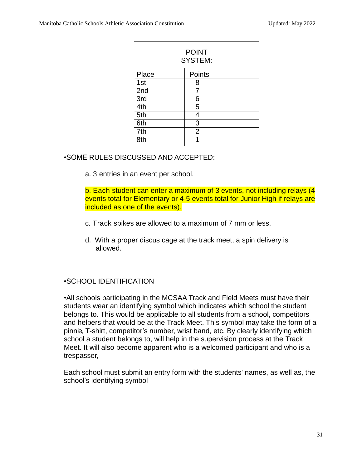| <b>POINT</b><br><b>SYSTEM:</b> |                |  |  |  |
|--------------------------------|----------------|--|--|--|
| Place                          | Points         |  |  |  |
| 1st                            | 8              |  |  |  |
| 2nd                            | 7              |  |  |  |
| 3rd                            | 6              |  |  |  |
| 4th                            | 5              |  |  |  |
| 5th                            | 4              |  |  |  |
| 6th                            | $\overline{3}$ |  |  |  |
| 7th                            | $\overline{2}$ |  |  |  |
| 8th                            |                |  |  |  |

# •SOME RULES DISCUSSED AND ACCEPTED:

a. 3 entries in an event per school.

b. Each student can enter a maximum of 3 events, not including relays (4 events total for Elementary or 4-5 events total for Junior High if relays are included as one of the events).

- c. Track spikes are allowed to a maximum of 7 mm or less.
- d. With a proper discus cage at the track meet, a spin delivery is allowed.

#### •SCHOOL IDENTIFICATION

•All schools participating in the MCSAA Track and Field Meets must have their students wear an identifying symbol which indicates which school the student belongs to. This would be applicable to all students from a school, competitors and helpers that would be at the Track Meet. This symbol may take the form of a pinnie, T-shirt, competitor's number, wrist band, etc. By clearly identifying which school a student belongs to, will help in the supervision process at the Track Meet. It will also become apparent who is a welcomed participant and who is a trespasser,

Each school must submit an entry form with the students' names, as well as, the school's identifying symbol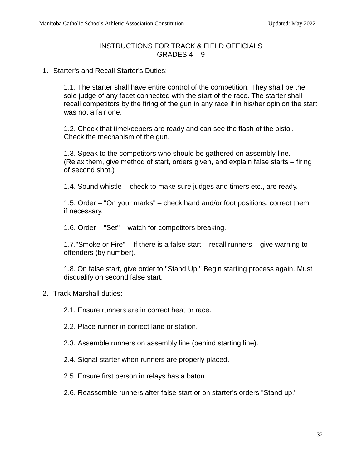### INSTRUCTIONS FOR TRACK & FIELD OFFICIALS GRADES  $4 - 9$

1. Starter's and Recall Starter's Duties:

1.1. The starter shall have entire control of the competition. They shall be the sole judge of any facet connected with the start of the race. The starter shall recall competitors by the firing of the gun in any race if in his/her opinion the start was not a fair one.

1.2. Check that timekeepers are ready and can see the flash of the pistol. Check the mechanism of the gun.

1.3. Speak to the competitors who should be gathered on assembly line. (Relax them, give method of start, orders given, and explain false starts – firing of second shot.)

1.4. Sound whistle – check to make sure judges and timers etc., are ready.

1.5. Order – "On your marks" – check hand and/or foot positions, correct them if necessary.

1.6. Order – "Set" – watch for competitors breaking.

1.7."Smoke or Fire" – If there is a false start – recall runners – give warning to offenders (by number).

1.8. On false start, give order to "Stand Up." Begin starting process again. Must disqualify on second false start.

2. Track Marshall duties:

2.1. Ensure runners are in correct heat or race.

- 2.2. Place runner in correct lane or station.
- 2.3. Assemble runners on assembly line (behind starting line).
- 2.4. Signal starter when runners are properly placed.
- 2.5. Ensure first person in relays has a baton.
- 2.6. Reassemble runners after false start or on starter's orders "Stand up."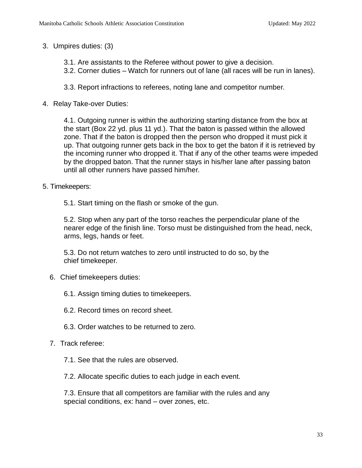3. Umpires duties: (3)

- 3.1. Are assistants to the Referee without power to give a decision.
- 3.2. Corner duties Watch for runners out of lane (all races will be run in lanes).
- 3.3. Report infractions to referees, noting lane and competitor number.
- 4. Relay Take-over Duties:

4.1. Outgoing runner is within the authorizing starting distance from the box at the start (Box 22 yd. plus 11 yd.). That the baton is passed within the allowed zone. That if the baton is dropped then the person who dropped it must pick it up. That outgoing runner gets back in the box to get the baton if it is retrieved by the incoming runner who dropped it. That if any of the other teams were impeded by the dropped baton. That the runner stays in his/her lane after passing baton until all other runners have passed him/her.

- 5. Timekeepers:
	- 5.1. Start timing on the flash or smoke of the gun.

5.2. Stop when any part of the torso reaches the perpendicular plane of the nearer edge of the finish line. Torso must be distinguished from the head, neck, arms, legs, hands or feet.

5.3. Do not return watches to zero until instructed to do so, by the chief timekeeper.

- 6. Chief timekeepers duties:
	- 6.1. Assign timing duties to timekeepers.
	- 6.2. Record times on record sheet.
	- 6.3. Order watches to be returned to zero.
- 7. Track referee:
	- 7.1. See that the rules are observed.
	- 7.2. Allocate specific duties to each judge in each event.

7.3. Ensure that all competitors are familiar with the rules and any special conditions, ex: hand – over zones, etc.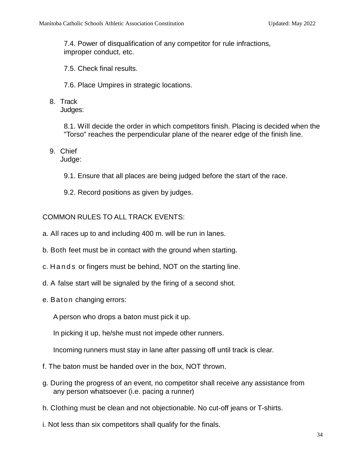7.4. Power of disqualification of any competitor for rule infractions, improper conduct, etc.

- 7.5. Check final results.
- 7.6. Place Umpires in strategic locations.
- 8. Track

Judges:

8.1. Will decide the order in which competitors finish. Placing is decided when the "Torso" reaches the perpendicular plane of the nearer edge of the finish line.

9. Chief

Judge:

- 9.1. Ensure that all places are being judged before the start of the race.
- 9.2. Record positions as given by judges.

# COMMON RULES TO ALL TRACK EVENTS:

- a. All races up to and including 400 m. will be run in lanes.
- b. Both feet must be in contact with the ground when starting.
- c. H and s or fingers must be behind, NOT on the starting line.
- d. A false start will be signaled by the firing of a second shot.
- e. Baton changing errors:
	- A person who drops a baton must pick it up.

In picking it up, he/she must not impede other runners.

Incoming runners must stay in lane after passing off until track is clear.

- f. The baton must be handed over in the box, NOT thrown.
- g. During the progress of an event, no competitor shall receive any assistance from any person whatsoever (i.e. pacing a runner)
- h. Clothing must be clean and not objectionable. No cut-off jeans or T-shirts.
- i. Not less than six competitors shall qualify for the finals.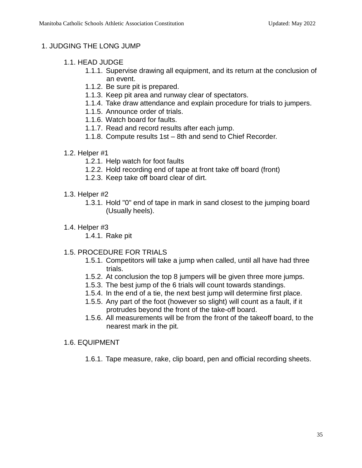# 1. JUDGING THE LONG JUMP

- 1.1. HEAD JUDGE
	- 1.1.1. Supervise drawing all equipment, and its return at the conclusion of an event.
	- 1.1.2. Be sure pit is prepared.
	- 1.1.3. Keep pit area and runway clear of spectators.
	- 1.1.4. Take draw attendance and explain procedure for trials to jumpers.
	- 1.1.5. Announce order of trials.
	- 1.1.6. Watch board for faults.
	- 1.1.7. Read and record results after each jump.
	- 1.1.8. Compute results 1st 8th and send to Chief Recorder.
- 1.2. Helper #1
	- 1.2.1. Help watch for foot faults
	- 1.2.2. Hold recording end of tape at front take off board (front)
	- 1.2.3. Keep take off board clear of dirt.
- 1.3. Helper #2
	- 1.3.1. Hold "0" end of tape in mark in sand closest to the jumping board (Usually heels).
- 1.4. Helper #3
	- 1.4.1. Rake pit
- 1.5. PROCEDURE FOR TRIALS
	- 1.5.1. Competitors will take a jump when called, until all have had three trials.
	- 1.5.2. At conclusion the top 8 jumpers will be given three more jumps.
	- 1.5.3. The best jump of the 6 trials will count towards standings.
	- 1.5.4. In the end of a tie, the next best jump will determine first place.
	- 1.5.5. Any part of the foot (however so slight) will count as a fault, if it protrudes beyond the front of the take-off board.
	- 1.5.6. All measurements will be from the front of the takeoff board, to the nearest mark in the pit.
- 1.6. EQUIPMENT
	- 1.6.1. Tape measure, rake, clip board, pen and official recording sheets.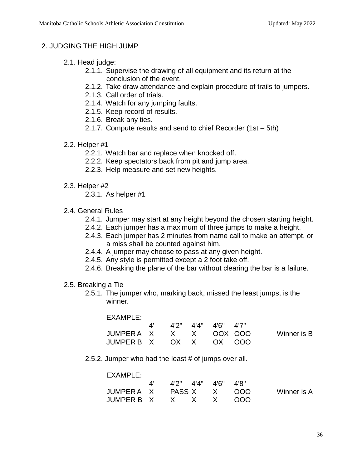# 2. JUDGING THE HIGH JUMP

- 2.1. Head judge:
	- 2.1.1. Supervise the drawing of all equipment and its return at the conclusion of the event.
	- 2.1.2. Take draw attendance and explain procedure of trails to jumpers.
	- 2.1.3. Call order of trials.
	- 2.1.4. Watch for any jumping faults.
	- 2.1.5. Keep record of results.
	- 2.1.6. Break any ties.
	- 2.1.7. Compute results and send to chief Recorder (1st 5th)
- 2.2. Helper #1
	- 2.2.1. Watch bar and replace when knocked off.
	- 2.2.2. Keep spectators back from pit and jump area.
	- 2.2.3. Help measure and set new heights.
- 2.3. Helper #2
	- 2.3.1. As helper #1
- 2.4. General Rules
	- 2.4.1. Jumper may start at any height beyond the chosen starting height.
	- 2.4.2. Each jumper has a maximum of three jumps to make a height.
	- 2.4.3. Each jumper has 2 minutes from name call to make an attempt, or a miss shall be counted against him.
	- 2.4.4. A jumper may choose to pass at any given height.
	- 2.4.5. Any style is permitted except a 2 foot take off.
	- 2.4.6. Breaking the plane of the bar without clearing the bar is a failure.
- 2.5. Breaking a Tie
	- 2.5.1. The jumper who, marking back, missed the least jumps, is the winner.

| EXAMPLE: |  |
|----------|--|
|          |  |

|                        |  | 4' 4'2" 4'4" 4'6" 4'7" |                    |
|------------------------|--|------------------------|--------------------|
| JUMPERAX X X OOX OOO   |  |                        | <b>Winner is B</b> |
| JUMPER B X OX X OX OOO |  |                        |                    |

2.5.2. Jumper who had the least # of jumps over all.

| EXAMPLE:             |                        |  |             |
|----------------------|------------------------|--|-------------|
|                      | 4' 4'2" 4'4" 4'6" 4'8" |  |             |
| JUMPERAX PASSX X 000 |                        |  | Winner is A |
| JUMPER B X X X X OOO |                        |  |             |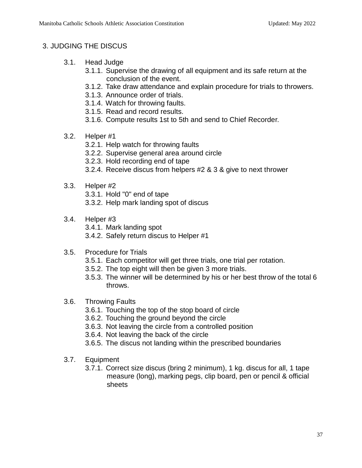# 3. JUDGING THE DISCUS

- 3.1. Head Judge
	- 3.1.1. Supervise the drawing of all equipment and its safe return at the conclusion of the event.
	- 3.1.2. Take draw attendance and explain procedure for trials to throwers.
	- 3.1.3. Announce order of trials.
	- 3.1.4. Watch for throwing faults.
	- 3.1.5. Read and record results.
	- 3.1.6. Compute results 1st to 5th and send to Chief Recorder.
- 3.2. Helper #1
	- 3.2.1. Help watch for throwing faults
	- 3.2.2. Supervise general area around circle
	- 3.2.3. Hold recording end of tape
	- 3.2.4. Receive discus from helpers #2 & 3 & give to next thrower
- 3.3. Helper #2

3.3.1. Hold "0" end of tape

3.3.2. Help mark landing spot of discus

- 3.4. Helper #3
	- 3.4.1. Mark landing spot
	- 3.4.2. Safely return discus to Helper #1
- 3.5. Procedure for Trials
	- 3.5.1. Each competitor will get three trials, one trial per rotation.
	- 3.5.2. The top eight will then be given 3 more trials.
	- 3.5.3. The winner will be determined by his or her best throw of the total 6 throws.
- 3.6. Throwing Faults
	- 3.6.1. Touching the top of the stop board of circle
	- 3.6.2. Touching the ground beyond the circle
	- 3.6.3. Not leaving the circle from a controlled position
	- 3.6.4. Not leaving the back of the circle
	- 3.6.5. The discus not landing within the prescribed boundaries
- 3.7. Equipment
	- 3.7.1. Correct size discus (bring 2 minimum), 1 kg. discus for all, 1 tape measure (long), marking pegs, clip board, pen or pencil & official sheets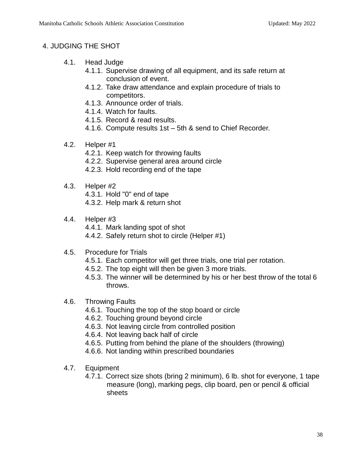# 4. JUDGING THE SHOT

- 4.1. Head Judge
	- 4.1.1. Supervise drawing of all equipment, and its safe return at conclusion of event.
	- 4.1.2. Take draw attendance and explain procedure of trials to competitors.
	- 4.1.3. Announce order of trials.
	- 4.1.4. Watch for faults.
	- 4.1.5. Record & read results.
	- 4.1.6. Compute results 1st 5th & send to Chief Recorder.
- 4.2. Helper #1
	- 4.2.1. Keep watch for throwing faults
	- 4.2.2. Supervise general area around circle
	- 4.2.3. Hold recording end of the tape
- 4.3. Helper #2

4.3.1. Hold "0" end of tape

4.3.2. Help mark & return shot

4.4. Helper #3

4.4.1. Mark landing spot of shot

- 4.4.2. Safely return shot to circle (Helper #1)
- 4.5. Procedure for Trials
	- 4.5.1. Each competitor will get three trials, one trial per rotation.
	- 4.5.2. The top eight will then be given 3 more trials.
	- 4.5.3. The winner will be determined by his or her best throw of the total 6 throws.
- 4.6. Throwing Faults
	- 4.6.1. Touching the top of the stop board or circle
	- 4.6.2. Touching ground beyond circle
	- 4.6.3. Not leaving circle from controlled position
	- 4.6.4. Not leaving back half of circle
	- 4.6.5. Putting from behind the plane of the shoulders (throwing)
	- 4.6.6. Not landing within prescribed boundaries
- 4.7. Equipment
	- 4.7.1. Correct size shots (bring 2 minimum), 6 lb. shot for everyone, 1 tape measure (long), marking pegs, clip board, pen or pencil & official sheets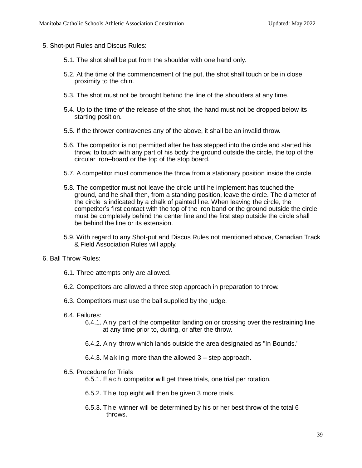- 5. Shot-put Rules and Discus Rules:
	- 5.1. The shot shall be put from the shoulder with one hand only.
	- 5.2. At the time of the commencement of the put, the shot shall touch or be in close proximity to the chin.
	- 5.3. The shot must not be brought behind the line of the shoulders at any time.
	- 5.4. Up to the time of the release of the shot, the hand must not be dropped below its starting position.
	- 5.5. If the thrower contravenes any of the above, it shall be an invalid throw.
	- 5.6. The competitor is not permitted after he has stepped into the circle and started his throw, to touch with any part of his body the ground outside the circle, the top of the circular iron–board or the top of the stop board.
	- 5.7. A competitor must commence the throw from a stationary position inside the circle.
	- 5.8. The competitor must not leave the circle until he implement has touched the ground, and he shall then, from a standing position, leave the circle. The diameter of the circle is indicated by a chalk of painted line. When leaving the circle, the competitor's first contact with the top of the iron band or the ground outside the circle must be completely behind the center line and the first step outside the circle shall be behind the line or its extension.
	- 5.9. With regard to any Shot-put and Discus Rules not mentioned above, Canadian Track & Field Association Rules will apply.
- 6. Ball Throw Rules:
	- 6.1. Three attempts only are allowed.
	- 6.2. Competitors are allowed a three step approach in preparation to throw.
	- 6.3. Competitors must use the ball supplied by the judge.
	- 6.4. Failures:
		- 6.4.1. A n y part of the competitor landing on or crossing over the restraining line at any time prior to, during, or after the throw.
		- 6.4.2. A n y throw which lands outside the area designated as "In Bounds."
		- 6.4.3. Making more than the allowed  $3$  step approach.
	- 6.5. Procedure for Trials

6.5.1. E a c h competitor will get three trials, one trial per rotation.

- 6.5.2. The top eight will then be given 3 more trials.
- 6.5.3. The winner will be determined by his or her best throw of the total 6 throws.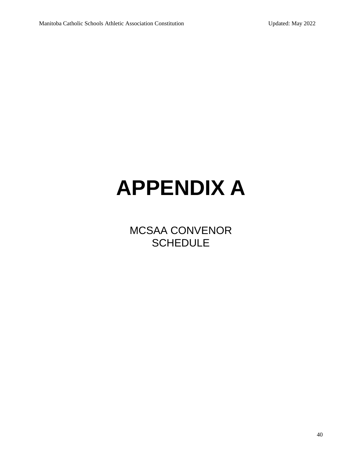# **APPENDIX A**

MCSAA CONVENOR **SCHEDULE**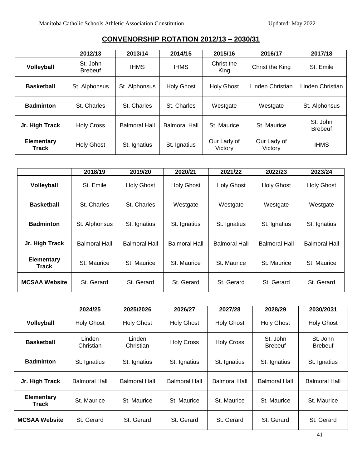|                     | 2012/13                    | 2013/14              | 2014/15              | 2015/16                | 2016/17                | 2017/18                    |
|---------------------|----------------------------|----------------------|----------------------|------------------------|------------------------|----------------------------|
| Volleyball          | St. John<br><b>Brebeuf</b> | <b>IHMS</b>          | <b>IHMS</b>          | Christ the<br>King     | Christ the King        | St. Emile                  |
| <b>Basketball</b>   | St. Alphonsus              | St. Alphonsus        | <b>Holy Ghost</b>    | <b>Holy Ghost</b>      | Linden Christian       | Linden Christian           |
| <b>Badminton</b>    | St. Charles                | St. Charles          | St. Charles          | Westgate               | Westgate               | St. Alphonsus              |
| Jr. High Track      | <b>Holy Cross</b>          | <b>Balmoral Hall</b> | <b>Balmoral Hall</b> | St. Maurice            | St. Maurice            | St. John<br><b>Brebeuf</b> |
| Elementary<br>Track | <b>Holy Ghost</b>          | St. Ignatius         | St. Ignatius         | Our Lady of<br>Victory | Our Lady of<br>Victory | <b>IHMS</b>                |

# **CONVENORSHIP ROTATION 2012/13 – 2030/31**

|                            | 2018/19       | 2019/20              | 2020/21           | 2021/22              | 2022/23              | 2023/24              |
|----------------------------|---------------|----------------------|-------------------|----------------------|----------------------|----------------------|
| Volleyball                 | St. Emile     | <b>Holy Ghost</b>    | <b>Holy Ghost</b> | <b>Holy Ghost</b>    | <b>Holy Ghost</b>    | <b>Holy Ghost</b>    |
| <b>Basketball</b>          | St. Charles   | St. Charles          | Westgate          | Westgate             | Westgate             | Westgate             |
| <b>Badminton</b>           | St. Alphonsus | St. Ignatius         | St. Ignatius      | St. Ignatius         | St. Ignatius         | St. Ignatius         |
| Jr. High Track             | Balmoral Hall | <b>Balmoral Hall</b> | Balmoral Hall     | <b>Balmoral Hall</b> | <b>Balmoral Hall</b> | <b>Balmoral Hall</b> |
| <b>Elementary</b><br>Track | St. Maurice   | St. Maurice          | St. Maurice       | St. Maurice          | St. Maurice          | St. Maurice          |
| <b>MCSAA Website</b>       | St. Gerard    | St. Gerard           | St. Gerard        | St. Gerard           | St. Gerard           | St. Gerard           |

|                                   | 2024/25              | 2025/2026            | 2026/27              | 2027/28              | 2028/29                    | 2030/2031                  |
|-----------------------------------|----------------------|----------------------|----------------------|----------------------|----------------------------|----------------------------|
| <b>Volleyball</b>                 | <b>Holy Ghost</b>    | <b>Holy Ghost</b>    | <b>Holy Ghost</b>    | <b>Holy Ghost</b>    | <b>Holy Ghost</b>          | <b>Holy Ghost</b>          |
| <b>Basketball</b>                 | Linden<br>Christian  | Linden<br>Christian  | <b>Holy Cross</b>    | <b>Holy Cross</b>    | St. John<br><b>Brebeuf</b> | St. John<br><b>Brebeuf</b> |
| <b>Badminton</b>                  | St. Ignatius         | St. Ignatius         | St. Ignatius         | St. Ignatius         | St. Ignatius               | St. Ignatius               |
| Jr. High Track                    | <b>Balmoral Hall</b> | <b>Balmoral Hall</b> | <b>Balmoral Hall</b> | <b>Balmoral Hall</b> | <b>Balmoral Hall</b>       | <b>Balmoral Hall</b>       |
| <b>Elementary</b><br><b>Track</b> | St. Maurice          | St. Maurice          | St. Maurice          | St. Maurice          | St. Maurice                | St. Maurice                |
| <b>MCSAA Website</b>              | St. Gerard           | St. Gerard           | St. Gerard           | St. Gerard           | St. Gerard                 | St. Gerard                 |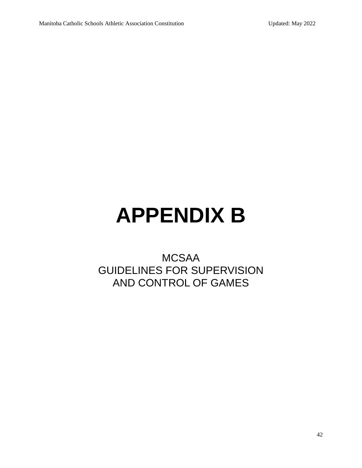# **APPENDIX B**

# MCSAA GUIDELINES FOR SUPERVISION AND CONTROL OF GAMES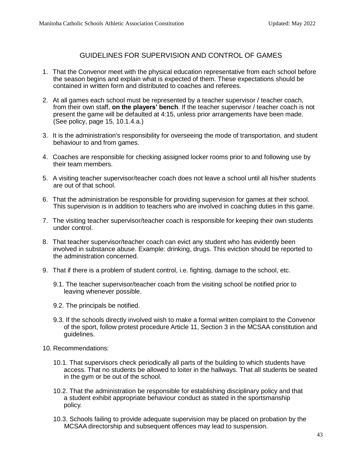#### GUIDELINES FOR SUPERVISION AND CONTROL OF GAMES

- 1. That the Convenor meet with the physical education representative from each school before the season begins and explain what is expected of them. These expectations should be contained in written form and distributed to coaches and referees.
- 2. At all games each school must be represented by a teacher supervisor / teacher coach, from their own staff, **on the players' bench**. If the teacher supervisor / teacher coach is not present the game will be defaulted at 4:15, unless prior arrangements have been made. (See policy, page 15, 10.1.4.a.)
- 3. It is the administration's responsibility for overseeing the mode of transportation, and student behaviour to and from games.
- 4. Coaches are responsible for checking assigned locker rooms prior to and following use by their team members.
- 5. A visiting teacher supervisor/teacher coach does not leave a school until all his/her students are out of that school.
- 6. That the administration be responsible for providing supervision for games at their school. This supervision is in addition to teachers who are involved in coaching duties in this game.
- 7. The visiting teacher supervisor/teacher coach is responsible for keeping their own students under control.
- 8. That teacher supervisor/teacher coach can evict any student who has evidently been involved in substance abuse. Example: drinking, drugs. This eviction should be reported to the administration concerned.
- 9. That if there is a problem of student control, i.e. fighting, damage to the school, etc.
	- 9.1. The teacher supervisor/teacher coach from the visiting school be notified prior to leaving whenever possible.
	- 9.2. The principals be notified.
	- 9.3. If the schools directly involved wish to make a formal written complaint to the Convenor of the sport, follow protest procedure Article 11, Section 3 in the MCSAA constitution and guidelines.
- 10. Recommendations:
	- 10.1. That supervisors check periodically all parts of the building to which students have access. That no students be allowed to loiter in the hallways. That all students be seated in the gym or be out of the school.
	- 10.2. That the administration be responsible for establishing disciplinary policy and that a student exhibit appropriate behaviour conduct as stated in the sportsmanship policy.
	- 10.3. Schools failing to provide adequate supervision may be placed on probation by the MCSAA directorship and subsequent offences may lead to suspension.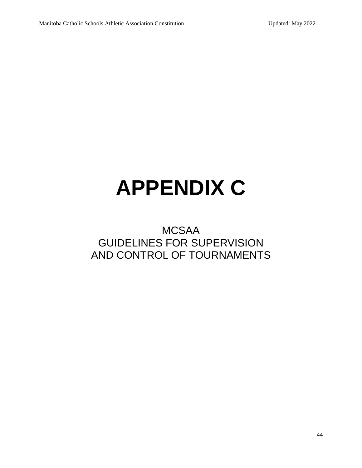# **APPENDIX C**

# MCSAA GUIDELINES FOR SUPERVISION AND CONTROL OF TOURNAMENTS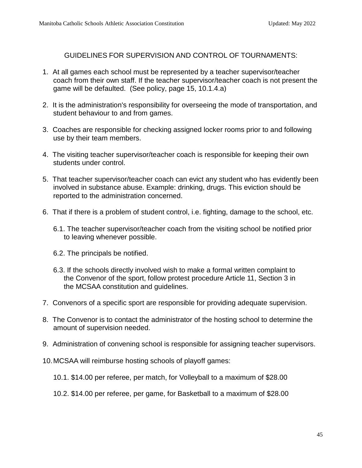GUIDELINES FOR SUPERVISION AND CONTROL OF TOURNAMENTS:

- 1. At all games each school must be represented by a teacher supervisor/teacher coach from their own staff. If the teacher supervisor/teacher coach is not present the game will be defaulted. (See policy, page 15, 10.1.4.a)
- 2. It is the administration's responsibility for overseeing the mode of transportation, and student behaviour to and from games.
- 3. Coaches are responsible for checking assigned locker rooms prior to and following use by their team members.
- 4. The visiting teacher supervisor/teacher coach is responsible for keeping their own students under control.
- 5. That teacher supervisor/teacher coach can evict any student who has evidently been involved in substance abuse. Example: drinking, drugs. This eviction should be reported to the administration concerned.
- 6. That if there is a problem of student control, i.e. fighting, damage to the school, etc.
	- 6.1. The teacher supervisor/teacher coach from the visiting school be notified prior to leaving whenever possible.
	- 6.2. The principals be notified.
	- 6.3. If the schools directly involved wish to make a formal written complaint to the Convenor of the sport, follow protest procedure Article 11, Section 3 in the MCSAA constitution and guidelines.
- 7. Convenors of a specific sport are responsible for providing adequate supervision.
- 8. The Convenor is to contact the administrator of the hosting school to determine the amount of supervision needed.
- 9. Administration of convening school is responsible for assigning teacher supervisors.
- 10.MCSAA will reimburse hosting schools of playoff games:
	- 10.1. \$14.00 per referee, per match, for Volleyball to a maximum of \$28.00
	- 10.2. \$14.00 per referee, per game, for Basketball to a maximum of \$28.00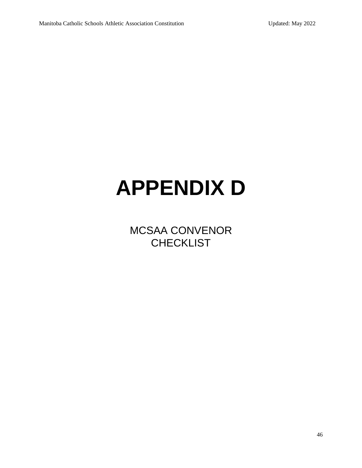# **APPENDIX D**

MCSAA CONVENOR **CHECKLIST**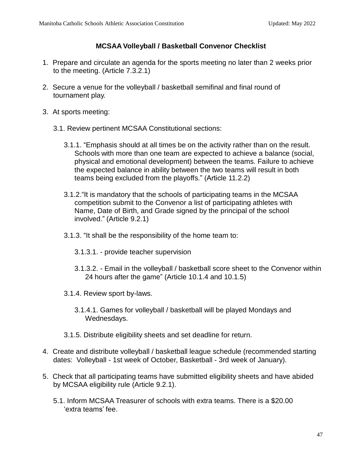# **MCSAA Volleyball / Basketball Convenor Checklist**

- 1. Prepare and circulate an agenda for the sports meeting no later than 2 weeks prior to the meeting. (Article 7.3.2.1)
- 2. Secure a venue for the volleyball / basketball semifinal and final round of tournament play.
- 3. At sports meeting:
	- 3.1. Review pertinent MCSAA Constitutional sections:
		- 3.1.1. "Emphasis should at all times be on the activity rather than on the result. Schools with more than one team are expected to achieve a balance (social, physical and emotional development) between the teams. Failure to achieve the expected balance in ability between the two teams will result in both teams being excluded from the playoffs." (Article 11.2.2)
		- 3.1.2."It is mandatory that the schools of participating teams in the MCSAA competition submit to the Convenor a list of participating athletes with Name, Date of Birth, and Grade signed by the principal of the school involved." (Article 9.2.1)
		- 3.1.3. "It shall be the responsibility of the home team to:
			- 3.1.3.1. provide teacher supervision
			- 3.1.3.2. Email in the volleyball / basketball score sheet to the Convenor within 24 hours after the game" (Article 10.1.4 and 10.1.5)
		- 3.1.4. Review sport by-laws.
			- 3.1.4.1. Games for volleyball / basketball will be played Mondays and Wednesdays.
		- 3.1.5. Distribute eligibility sheets and set deadline for return.
- 4. Create and distribute volleyball / basketball league schedule (recommended starting dates: Volleyball - 1st week of October, Basketball - 3rd week of January).
- 5. Check that all participating teams have submitted eligibility sheets and have abided by MCSAA eligibility rule (Article 9.2.1).
	- 5.1. Inform MCSAA Treasurer of schools with extra teams. There is a \$20.00 'extra teams' fee.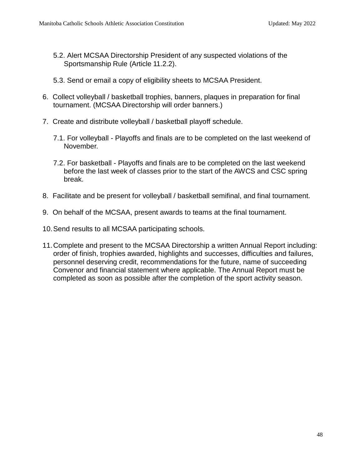- 5.2. Alert MCSAA Directorship President of any suspected violations of the Sportsmanship Rule (Article 11.2.2).
- 5.3. Send or email a copy of eligibility sheets to MCSAA President.
- 6. Collect volleyball / basketball trophies, banners, plaques in preparation for final tournament. (MCSAA Directorship will order banners.)
- 7. Create and distribute volleyball / basketball playoff schedule.
	- 7.1. For volleyball Playoffs and finals are to be completed on the last weekend of November.
	- 7.2. For basketball Playoffs and finals are to be completed on the last weekend before the last week of classes prior to the start of the AWCS and CSC spring break.
- 8. Facilitate and be present for volleyball / basketball semifinal, and final tournament.
- 9. On behalf of the MCSAA, present awards to teams at the final tournament.
- 10.Send results to all MCSAA participating schools.
- 11.Complete and present to the MCSAA Directorship a written Annual Report including: order of finish, trophies awarded, highlights and successes, difficulties and failures, personnel deserving credit, recommendations for the future, name of succeeding Convenor and financial statement where applicable. The Annual Report must be completed as soon as possible after the completion of the sport activity season.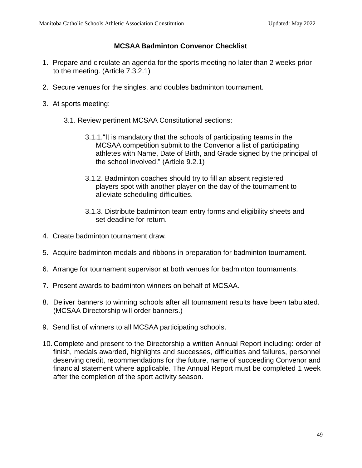# **MCSAA Badminton Convenor Checklist**

- 1. Prepare and circulate an agenda for the sports meeting no later than 2 weeks prior to the meeting. (Article 7.3.2.1)
- 2. Secure venues for the singles, and doubles badminton tournament.
- 3. At sports meeting:
	- 3.1. Review pertinent MCSAA Constitutional sections:
		- 3.1.1."It is mandatory that the schools of participating teams in the MCSAA competition submit to the Convenor a list of participating athletes with Name, Date of Birth, and Grade signed by the principal of the school involved." (Article 9.2.1)
		- 3.1.2. Badminton coaches should try to fill an absent registered players spot with another player on the day of the tournament to alleviate scheduling difficulties.
		- 3.1.3. Distribute badminton team entry forms and eligibility sheets and set deadline for return.
- 4. Create badminton tournament draw.
- 5. Acquire badminton medals and ribbons in preparation for badminton tournament.
- 6. Arrange for tournament supervisor at both venues for badminton tournaments.
- 7. Present awards to badminton winners on behalf of MCSAA.
- 8. Deliver banners to winning schools after all tournament results have been tabulated. (MCSAA Directorship will order banners.)
- 9. Send list of winners to all MCSAA participating schools.
- 10. Complete and present to the Directorship a written Annual Report including: order of finish, medals awarded, highlights and successes, difficulties and failures, personnel deserving credit, recommendations for the future, name of succeeding Convenor and financial statement where applicable. The Annual Report must be completed 1 week after the completion of the sport activity season.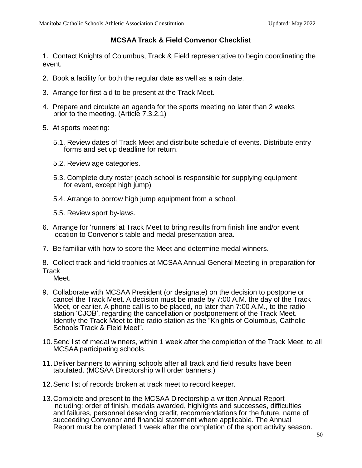#### **MCSAA Track & Field Convenor Checklist**

1. Contact Knights of Columbus, Track & Field representative to begin coordinating the event.

- 2. Book a facility for both the regular date as well as a rain date.
- 3. Arrange for first aid to be present at the Track Meet.
- 4. Prepare and circulate an agenda for the sports meeting no later than 2 weeks prior to the meeting. (Article 7.3.2.1)
- 5. At sports meeting:
	- 5.1. Review dates of Track Meet and distribute schedule of events. Distribute entry forms and set up deadline for return.
	- 5.2. Review age categories.
	- 5.3. Complete duty roster (each school is responsible for supplying equipment for event, except high jump)
	- 5.4. Arrange to borrow high jump equipment from a school.

5.5. Review sport by-laws.

- 6. Arrange for 'runners' at Track Meet to bring results from finish line and/or event location to Convenor's table and medal presentation area.
- 7. Be familiar with how to score the Meet and determine medal winners.

8. Collect track and field trophies at MCSAA Annual General Meeting in preparation for **Track** 

- Meet.
- 9. Collaborate with MCSAA President (or designate) on the decision to postpone or cancel the Track Meet. A decision must be made by 7:00 A.M. the day of the Track Meet, or earlier. A phone call is to be placed, no later than 7:00 A.M., to the radio station 'CJOB', regarding the cancellation or postponement of the Track Meet. Identify the Track Meet to the radio station as the "Knights of Columbus, Catholic Schools Track & Field Meet".
- 10.Send list of medal winners, within 1 week after the completion of the Track Meet, to all MCSAA participating schools.
- 11.Deliver banners to winning schools after all track and field results have been tabulated. (MCSAA Directorship will order banners.)
- 12.Send list of records broken at track meet to record keeper.
- 13.Complete and present to the MCSAA Directorship a written Annual Report including: order of finish, medals awarded, highlights and successes, difficulties and failures, personnel deserving credit, recommendations for the future, name of succeeding Convenor and financial statement where applicable. The Annual Report must be completed 1 week after the completion of the sport activity season.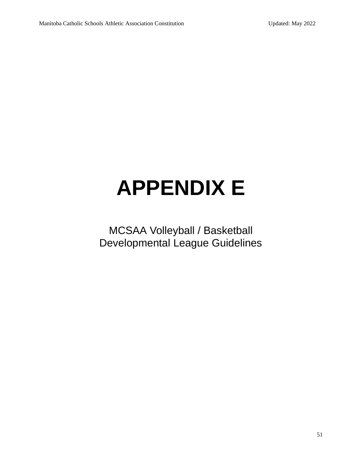# **APPENDIX E**

MCSAA Volleyball / Basketball Developmental League Guidelines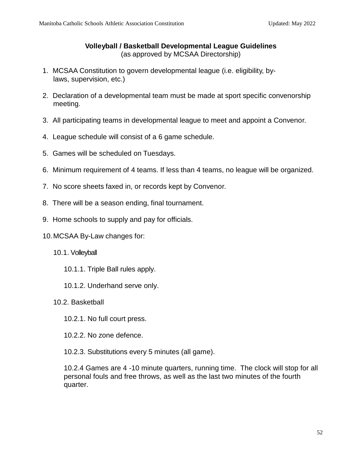#### **Volleyball / Basketball Developmental League Guidelines** (as approved by MCSAA Directorship)

- 1. MCSAA Constitution to govern developmental league (i.e. eligibility, bylaws, supervision, etc.)
- 2. Declaration of a developmental team must be made at sport specific convenorship meeting.
- 3. All participating teams in developmental league to meet and appoint a Convenor.
- 4. League schedule will consist of a 6 game schedule.
- 5. Games will be scheduled on Tuesdays.
- 6. Minimum requirement of 4 teams. If less than 4 teams, no league will be organized.
- 7. No score sheets faxed in, or records kept by Convenor.
- 8. There will be a season ending, final tournament.
- 9. Home schools to supply and pay for officials.
- 10.MCSAA By-Law changes for:
	- 10.1. Volleyball
		- 10.1.1. Triple Ball rules apply.
		- 10.1.2. Underhand serve only.
	- 10.2. Basketball
		- 10.2.1. No full court press.
		- 10.2.2. No zone defence.
		- 10.2.3. Substitutions every 5 minutes (all game).

10.2.4 Games are 4 -10 minute quarters, running time. The clock will stop for all personal fouls and free throws, as well as the last two minutes of the fourth quarter.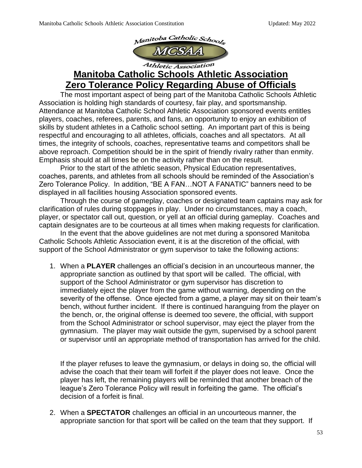

# **Manitoba Catholic Schools Athletic Association Zero Tolerance Policy Regarding Abuse of Officials**

The most important aspect of being part of the Manitoba Catholic Schools Athletic Association is holding high standards of courtesy, fair play, and sportsmanship. Attendance at Manitoba Catholic School Athletic Association sponsored events entitles players, coaches, referees, parents, and fans, an opportunity to enjoy an exhibition of skills by student athletes in a Catholic school setting. An important part of this is being respectful and encouraging to all athletes, officials, coaches and all spectators. At all times, the integrity of schools, coaches, representative teams and competitors shall be above reproach. Competition should be in the spirit of friendly rivalry rather than enmity. Emphasis should at all times be on the activity rather than on the result.

Prior to the start of the athletic season, Physical Education representatives, coaches, parents, and athletes from all schools should be reminded of the Association's Zero Tolerance Policy. In addition, "BE A FAN…NOT A FANATIC" banners need to be displayed in all facilities housing Association sponsored events.

Through the course of gameplay, coaches or designated team captains may ask for clarification of rules during stoppages in play. Under no circumstances, may a coach, player, or spectator call out, question, or yell at an official during gameplay. Coaches and captain designates are to be courteous at all times when making requests for clarification.

In the event that the above guidelines are not met during a sponsored Manitoba Catholic Schools Athletic Association event, it is at the discretion of the official, with support of the School Administrator or gym supervisor to take the following actions:

1. When a **PLAYER** challenges an official's decision in an uncourteous manner, the appropriate sanction as outlined by that sport will be called. The official, with support of the School Administrator or gym supervisor has discretion to immediately eject the player from the game without warning, depending on the severity of the offense. Once ejected from a game, a player may sit on their team's bench, without further incident. If there is continued haranguing from the player on the bench, or, the original offense is deemed too severe, the official, with support from the School Administrator or school supervisor, may eject the player from the gymnasium. The player may wait outside the gym, supervised by a school parent or supervisor until an appropriate method of transportation has arrived for the child.

If the player refuses to leave the gymnasium, or delays in doing so, the official will advise the coach that their team will forfeit if the player does not leave. Once the player has left, the remaining players will be reminded that another breach of the league's Zero Tolerance Policy will result in forfeiting the game. The official's decision of a forfeit is final.

2. When a **SPECTATOR** challenges an official in an uncourteous manner, the appropriate sanction for that sport will be called on the team that they support. If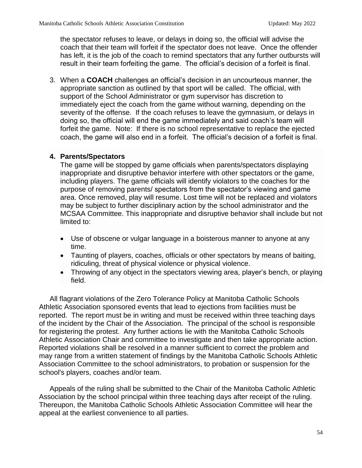the spectator refuses to leave, or delays in doing so, the official will advise the coach that their team will forfeit if the spectator does not leave. Once the offender has left, it is the job of the coach to remind spectators that any further outbursts will result in their team forfeiting the game. The official's decision of a forfeit is final.

3. When a **COACH** challenges an official's decision in an uncourteous manner, the appropriate sanction as outlined by that sport will be called. The official, with support of the School Administrator or gym supervisor has discretion to immediately eject the coach from the game without warning, depending on the severity of the offense. If the coach refuses to leave the gymnasium, or delays in doing so, the official will end the game immediately and said coach's team will forfeit the game. Note: If there is no school representative to replace the ejected coach, the game will also end in a forfeit. The official's decision of a forfeit is final.

#### **4. Parents/Spectators**

The game will be stopped by game officials when parents/spectators displaying inappropriate and disruptive behavior interfere with other spectators or the game, including players. The game officials will identify violators to the coaches for the purpose of removing parents/ spectators from the spectator's viewing and game area. Once removed, play will resume. Lost time will not be replaced and violators may be subject to further disciplinary action by the school administrator and the MCSAA Committee. This inappropriate and disruptive behavior shall include but not limited to:

- Use of obscene or vulgar language in a boisterous manner to anyone at any time.
- Taunting of players, coaches, officials or other spectators by means of baiting, ridiculing, threat of physical violence or physical violence.
- Throwing of any object in the spectators viewing area, player's bench, or playing field.

All flagrant violations of the Zero Tolerance Policy at Manitoba Catholic Schools Athletic Association sponsored events that lead to ejections from facilities must be reported. The report must be in writing and must be received within three teaching days of the incident by the Chair of the Association. The principal of the school is responsible for registering the protest. Any further actions lie with the Manitoba Catholic Schools Athletic Association Chair and committee to investigate and then take appropriate action. Reported violations shall be resolved in a manner sufficient to correct the problem and may range from a written statement of findings by the Manitoba Catholic Schools Athletic Association Committee to the school administrators, to probation or suspension for the school's players, coaches and/or team.

Appeals of the ruling shall be submitted to the Chair of the Manitoba Catholic Athletic Association by the school principal within three teaching days after receipt of the ruling. Thereupon, the Manitoba Catholic Schools Athletic Association Committee will hear the appeal at the earliest convenience to all parties.